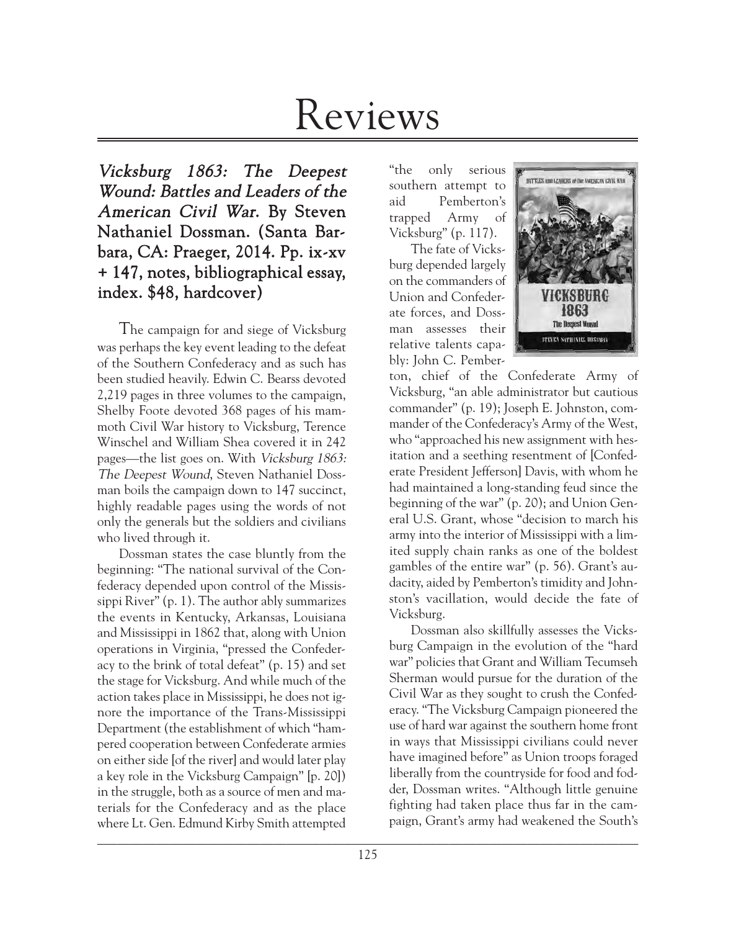# Reviews

Vicksburg 1863: The Deepest Wound: Battles and Leaders of the American Civil War. By Steven Nathaniel Dossman. (Santa Barbara, CA: Praeger, 2014. Pp. ix-xv + 147, notes, bibliographical essay, index. \$48, hardcover)

The campaign for and siege of Vicksburg was perhaps the key event leading to the defeat of the Southern Confederacy and as such has been studied heavily. Edwin C. Bearss devoted 2,219 pages in three volumes to the campaign, Shelby Foote devoted 368 pages of his mammoth Civil War history to Vicksburg, Terence Winschel and William Shea covered it in 242 pages—the list goes on. With Vicksburg 1863: The Deepest Wound, Steven Nathaniel Dossman boils the campaign down to 147 succinct, highly readable pages using the words of not only the generals but the soldiers and civilians who lived through it.

 $\mathcal{L}_\text{max} = \mathcal{L}_\text{max} = \mathcal{L}_\text{max} = \mathcal{L}_\text{max} = \mathcal{L}_\text{max} = \mathcal{L}_\text{max} = \mathcal{L}_\text{max} = \mathcal{L}_\text{max} = \mathcal{L}_\text{max} = \mathcal{L}_\text{max} = \mathcal{L}_\text{max} = \mathcal{L}_\text{max} = \mathcal{L}_\text{max} = \mathcal{L}_\text{max} = \mathcal{L}_\text{max} = \mathcal{L}_\text{max} = \mathcal{L}_\text{max} = \mathcal{L}_\text{max} = \mathcal{$ Dossman states the case bluntly from the beginning: "The national survival of the Confederacy depended upon control of the Mississippi River" (p. 1). The author ably summarizes the events in Kentucky, Arkansas, Louisiana and Mississippi in 1862 that, along with Union operations in Virginia, "pressed the Confederacy to the brink of total defeat" (p. 15) and set the stage for Vicksburg. And while much of the action takes place in Mississippi, he does not ignore the importance of the Trans-Mississippi Department (the establishment of which "hampered cooperation between Confederate armies on either side [of the river] and would later play a key role in the Vicksburg Campaign" [p. 20]) in the struggle, both as a source of men and materials for the Confederacy and as the place where Lt. Gen. Edmund Kirby Smith attempted

"the only serious southern attempt to aid Pemberton's trapped Army of Vicksburg" (p. 117).

The fate of Vicksburg depended largely on the commanders of Union and Confederate forces, and Dossman assesses their relative talents capably: John C. Pember-



ton, chief of the Confederate Army of Vicksburg, "an able administrator but cautious commander" (p. 19); Joseph E. Johnston, commander of the Confederacy's Army of the West, who "approached his new assignment with hesitation and a seething resentment of [Confederate President Jefferson] Davis, with whom he had maintained a long-standing feud since the beginning of the war" (p. 20); and Union General U.S. Grant, whose "decision to march his army into the interior of Mississippi with a limited supply chain ranks as one of the boldest gambles of the entire war" (p. 56). Grant's audacity, aided by Pemberton's timidity and Johnston's vacillation, would decide the fate of Vicksburg.

Dossman also skillfully assesses the Vicksburg Campaign in the evolution of the "hard war" policies that Grant and William Tecumseh Sherman would pursue for the duration of the Civil War as they sought to crush the Confederacy. "The Vicksburg Campaign pioneered the use of hard war against the southern home front in ways that Mississippi civilians could never have imagined before" as Union troops foraged liberally from the countryside for food and fodder, Dossman writes. "Although little genuine fighting had taken place thus far in the campaign, Grant's army had weakened the South's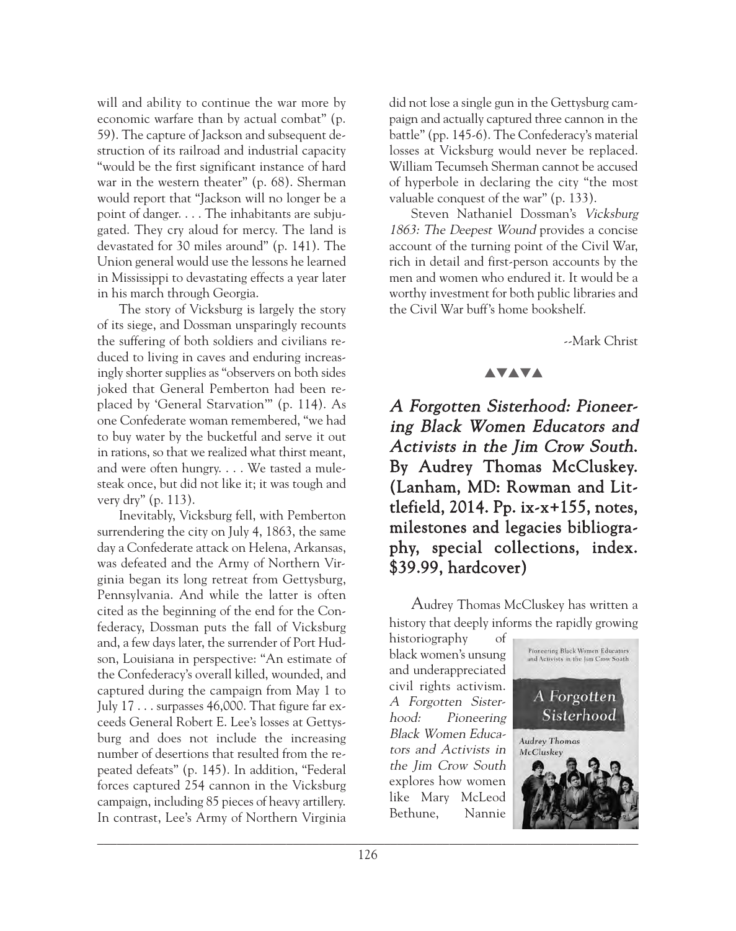will and ability to continue the war more by economic warfare than by actual combat" (p. 59). The capture of Jackson and subsequent destruction of its railroad and industrial capacity "would be the first significant instance of hard war in the western theater" (p. 68). Sherman would report that "Jackson will no longer be a point of danger. . . . The inhabitants are subjugated. They cry aloud for mercy. The land is devastated for 30 miles around" (p. 141). The Union general would use the lessons he learned in Mississippi to devastating effects a year later in his march through Georgia.

The story of Vicksburg is largely the story of its siege, and Dossman unsparingly recounts the suffering of both soldiers and civilians reduced to living in caves and enduring increasingly shorter supplies as "observers on both sides joked that General Pemberton had been replaced by 'General Starvation'" (p. 114). As one Confederate woman remembered, "we had to buy water by the bucketful and serve it out in rations, so that we realized what thirst meant, and were often hungry. . . . We tasted a mulesteak once, but did not like it; it was tough and very dry" (p. 113).

Inevitably, Vicksburg fell, with Pemberton surrendering the city on July 4, 1863, the same day a Confederate attack on Helena, Arkansas, was defeated and the Army of Northern Virginia began its long retreat from Gettysburg, Pennsylvania. And while the latter is often cited as the beginning of the end for the Confederacy, Dossman puts the fall of Vicksburg and, a few days later, the surrender of Port Hudson, Louisiana in perspective: "An estimate of the Confederacy's overall killed, wounded, and captured during the campaign from May 1 to July 17 . . . surpasses 46,000. That figure far exceeds General Robert E. Lee's losses at Gettysburg and does not include the increasing number of desertions that resulted from the repeated defeats" (p. 145). In addition, "Federal forces captured 254 cannon in the Vicksburg campaign, including 85 pieces of heavy artillery. In contrast, Lee's Army of Northern Virginia

did not lose a single gun in the Gettysburg campaign and actually captured three cannon in the battle" (pp. 145-6). The Confederacy's material losses at Vicksburg would never be replaced. William Tecumseh Sherman cannot be accused of hyperbole in declaring the city "the most valuable conquest of the war" (p. 133).

Steven Nathaniel Dossman's Vicksburg 1863: The Deepest Wound provides a concise account of the turning point of the Civil War, rich in detail and first-person accounts by the men and women who endured it. It would be a worthy investment for both public libraries and the Civil War buff's home bookshelf.

--Mark Christ

## **AVAVA**

A Forgotten Sisterhood: Pioneering Black Women Educators and Activists in the Jim Crow South. By Audrey Thomas McCluskey. (Lanham, MD: Rowman and Littlefield, 2014. Pp. ix-x+155, notes, milestones and legacies bibliography, special collections, index. \$39.99, hardcover)

Audrey Thomas McCluskey has written a history that deeply informs the rapidly growing

historiography of black women's unsung and underappreciated civil rights activism. A Forgotten Sisterhood: Pioneering Black Women Educators and Activists in the Jim Crow South explores how women like Mary McLeod Bethune, Nannie

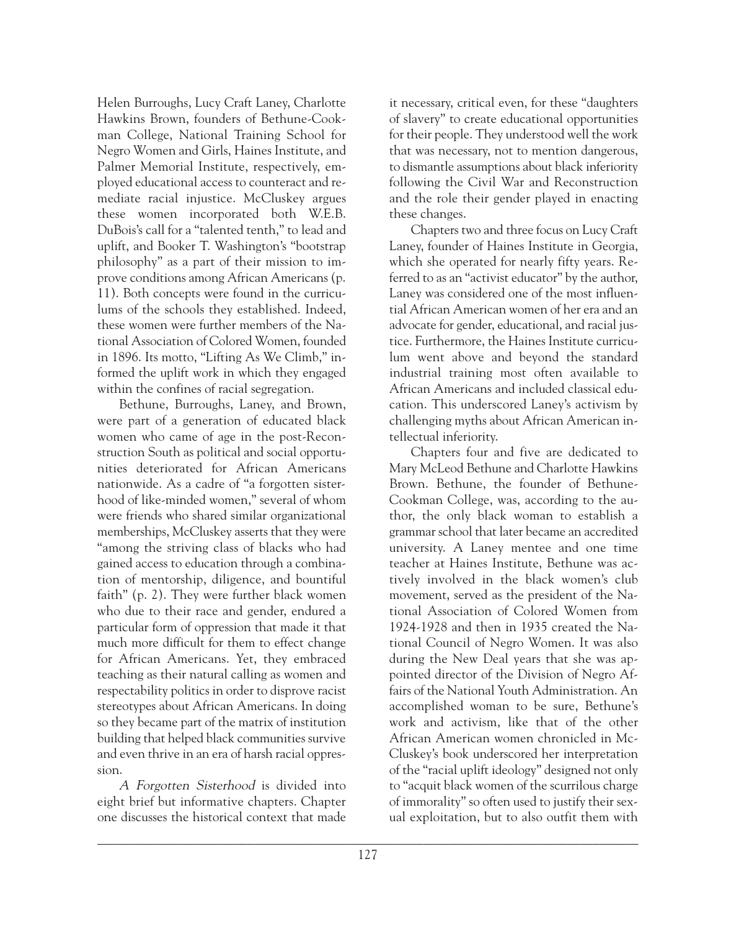Helen Burroughs, Lucy Craft Laney, Charlotte Hawkins Brown, founders of Bethune-Cookman College, National Training School for Negro Women and Girls, Haines Institute, and Palmer Memorial Institute, respectively, employed educational access to counteract and remediate racial injustice. McCluskey argues these women incorporated both W.E.B. DuBois's call for a "talented tenth," to lead and uplift, and Booker T. Washington's "bootstrap philosophy" as a part of their mission to improve conditions among African Americans (p. 11). Both concepts were found in the curriculums of the schools they established. Indeed, these women were further members of the National Association of Colored Women, founded in 1896. Its motto, "Lifting As We Climb," informed the uplift work in which they engaged within the confines of racial segregation.

Bethune, Burroughs, Laney, and Brown, were part of a generation of educated black women who came of age in the post-Reconstruction South as political and social opportunities deteriorated for African Americans nationwide. As a cadre of "a forgotten sisterhood of like-minded women," several of whom were friends who shared similar organizational memberships, McCluskey asserts that they were "among the striving class of blacks who had gained access to education through a combination of mentorship, diligence, and bountiful faith" (p. 2). They were further black women who due to their race and gender, endured a particular form of oppression that made it that much more difficult for them to effect change for African Americans. Yet, they embraced teaching as their natural calling as women and respectability politics in order to disprove racist stereotypes about African Americans. In doing so they became part of the matrix of institution building that helped black communities survive and even thrive in an era of harsh racial oppression.

A Forgotten Sisterhood is divided into eight brief but informative chapters. Chapter one discusses the historical context that made it necessary, critical even, for these "daughters of slavery" to create educational opportunities for their people. They understood well the work that was necessary, not to mention dangerous, to dismantle assumptions about black inferiority following the Civil War and Reconstruction and the role their gender played in enacting these changes.

Chapters two and three focus on Lucy Craft Laney, founder of Haines Institute in Georgia, which she operated for nearly fifty years. Referred to as an "activist educator" by the author, Laney was considered one of the most influential African American women of her era and an advocate for gender, educational, and racial justice. Furthermore, the Haines Institute curriculum went above and beyond the standard industrial training most often available to African Americans and included classical education. This underscored Laney's activism by challenging myths about African American intellectual inferiority.

Chapters four and five are dedicated to Mary McLeod Bethune and Charlotte Hawkins Brown. Bethune, the founder of Bethune-Cookman College, was, according to the author, the only black woman to establish a grammar school that later became an accredited university. A Laney mentee and one time teacher at Haines Institute, Bethune was actively involved in the black women's club movement, served as the president of the National Association of Colored Women from 1924-1928 and then in 1935 created the National Council of Negro Women. It was also during the New Deal years that she was appointed director of the Division of Negro Affairs of the National Youth Administration. An accomplished woman to be sure, Bethune's work and activism, like that of the other African American women chronicled in Mc-Cluskey's book underscored her interpretation of the "racial uplift ideology" designed not only to "acquit black women of the scurrilous charge of immorality" so often used to justify their sexual exploitation, but to also outfit them with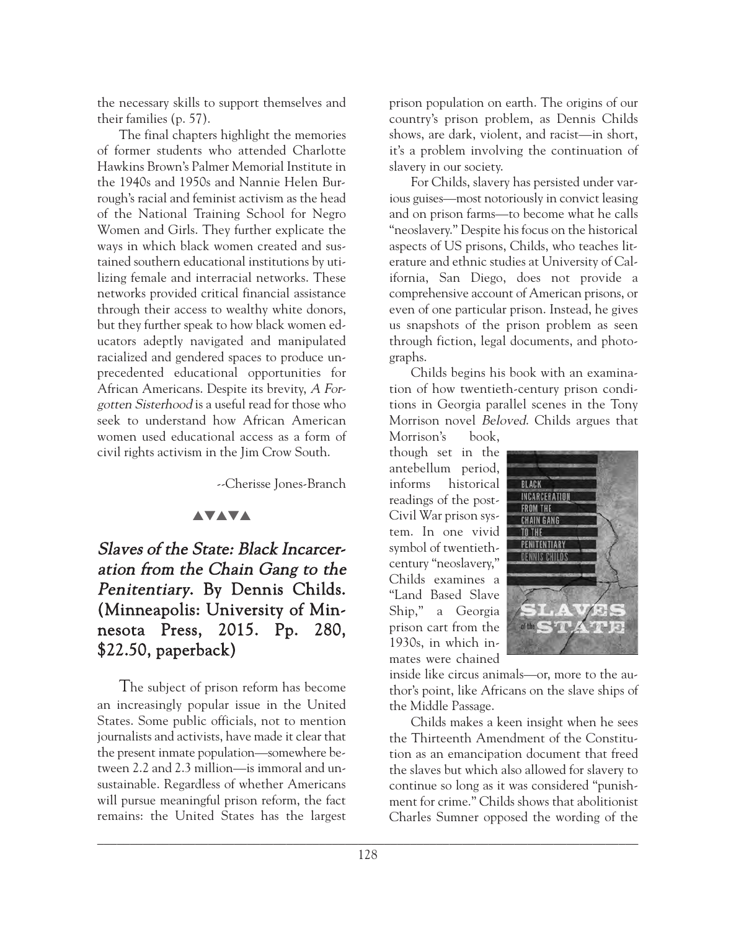the necessary skills to support themselves and their families (p. 57).

The final chapters highlight the memories of former students who attended Charlotte Hawkins Brown's Palmer Memorial Institute in the 1940s and 1950s and Nannie Helen Burrough's racial and feminist activism as the head of the National Training School for Negro Women and Girls. They further explicate the ways in which black women created and sustained southern educational institutions by utilizing female and interracial networks. These networks provided critical financial assistance through their access to wealthy white donors, but they further speak to how black women educators adeptly navigated and manipulated racialized and gendered spaces to produce unprecedented educational opportunities for African Americans. Despite its brevity, A Forgotten Sisterhood is a useful read for those who seek to understand how African American women used educational access as a form of civil rights activism in the Jim Crow South.

--Cherisse Jones-Branch

## **AVAVA**

# Slaves of the State: Black Incarceration from the Chain Gang to the Penitentiary. By Dennis Childs. (Minneapolis: University of Minnesota Press, 2015. Pp. 280, \$22.50, paperback)

The subject of prison reform has become an increasingly popular issue in the United States. Some public officials, not to mention journalists and activists, have made it clear that the present inmate population—somewhere between 2.2 and 2.3 million—is immoral and unsustainable. Regardless of whether Americans will pursue meaningful prison reform, the fact remains: the United States has the largest

prison population on earth. The origins of our country's prison problem, as Dennis Childs shows, are dark, violent, and racist—in short, it's a problem involving the continuation of slavery in our society.

For Childs, slavery has persisted under various guises—most notoriously in convict leasing and on prison farms—to become what he calls "neoslavery." Despite his focus on the historical aspects of US prisons, Childs, who teaches literature and ethnic studies at University of California, San Diego, does not provide a comprehensive account of American prisons, or even of one particular prison. Instead, he gives us snapshots of the prison problem as seen through fiction, legal documents, and photographs.

Childs begins his book with an examination of how twentieth-century prison conditions in Georgia parallel scenes in the Tony Morrison novel Beloved. Childs argues that

Morrison's book, though set in the antebellum period, informs historical readings of the post-Civil War prison system. In one vivid symbol of twentiethcentury "neoslavery," Childs examines a "Land Based Slave Ship," a Georgia prison cart from the 1930s, in which inmates were chained



inside like circus animals—or, more to the author's point, like Africans on the slave ships of the Middle Passage.

Childs makes a keen insight when he sees the Thirteenth Amendment of the Constitution as an emancipation document that freed the slaves but which also allowed for slavery to continue so long as it was considered "punishment for crime." Childs shows that abolitionist Charles Sumner opposed the wording of the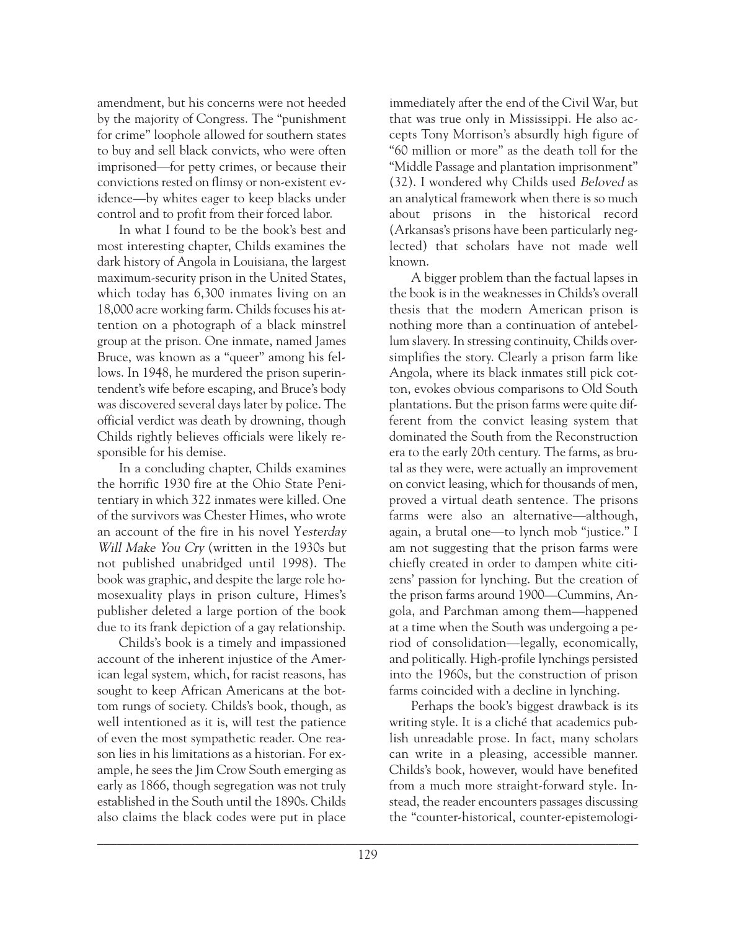amendment, but his concerns were not heeded by the majority of Congress. The "punishment for crime" loophole allowed for southern states to buy and sell black convicts, who were often imprisoned—for petty crimes, or because their convictions rested on flimsy or non-existent evidence—by whites eager to keep blacks under control and to profit from their forced labor.

In what I found to be the book's best and most interesting chapter, Childs examines the dark history of Angola in Louisiana, the largest maximum-security prison in the United States, which today has 6,300 inmates living on an 18,000 acre working farm. Childs focuses his attention on a photograph of a black minstrel group at the prison. One inmate, named James Bruce, was known as a "queer" among his fellows. In 1948, he murdered the prison superintendent's wife before escaping, and Bruce's body was discovered several days later by police. The official verdict was death by drowning, though Childs rightly believes officials were likely responsible for his demise.

In a concluding chapter, Childs examines the horrific 1930 fire at the Ohio State Penitentiary in which 322 inmates were killed. One of the survivors was Chester Himes, who wrote an account of the fire in his novel Yesterday Will Make You Cry (written in the 1930s but not published unabridged until 1998). The book was graphic, and despite the large role homosexuality plays in prison culture, Himes's publisher deleted a large portion of the book due to its frank depiction of a gay relationship.

Childs's book is a timely and impassioned account of the inherent injustice of the American legal system, which, for racist reasons, has sought to keep African Americans at the bottom rungs of society. Childs's book, though, as well intentioned as it is, will test the patience of even the most sympathetic reader. One reason lies in his limitations as a historian. For example, he sees the Jim Crow South emerging as early as 1866, though segregation was not truly established in the South until the 1890s. Childs also claims the black codes were put in place

immediately after the end of the Civil War, but that was true only in Mississippi. He also accepts Tony Morrison's absurdly high figure of "60 million or more" as the death toll for the "Middle Passage and plantation imprisonment" (32). I wondered why Childs used Beloved as an analytical framework when there is so much about prisons in the historical record (Arkansas's prisons have been particularly neglected) that scholars have not made well known.

A bigger problem than the factual lapses in the book is in the weaknesses in Childs's overall thesis that the modern American prison is nothing more than a continuation of antebellum slavery. In stressing continuity, Childs oversimplifies the story. Clearly a prison farm like Angola, where its black inmates still pick cotton, evokes obvious comparisons to Old South plantations. But the prison farms were quite different from the convict leasing system that dominated the South from the Reconstruction era to the early 20th century. The farms, as brutal as they were, were actually an improvement on convict leasing, which for thousands of men, proved a virtual death sentence. The prisons farms were also an alternative—although, again, a brutal one—to lynch mob "justice." I am not suggesting that the prison farms were chiefly created in order to dampen white citizens' passion for lynching. But the creation of the prison farms around 1900—Cummins, Angola, and Parchman among them—happened at a time when the South was undergoing a period of consolidation—legally, economically, and politically. High-profile lynchings persisted into the 1960s, but the construction of prison farms coincided with a decline in lynching.

Perhaps the book's biggest drawback is its writing style. It is a cliché that academics publish unreadable prose. In fact, many scholars can write in a pleasing, accessible manner. Childs's book, however, would have benefited from a much more straight-forward style. Instead, the reader encounters passages discussing the "counter-historical, counter-epistemologi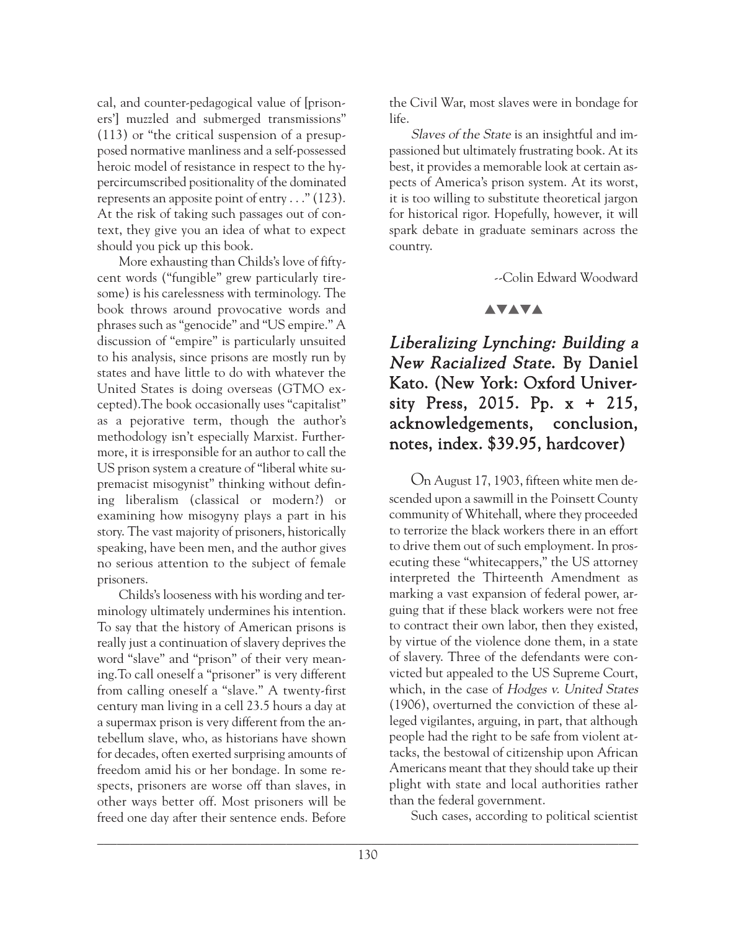cal, and counter-pedagogical value of [prisoners'] muzzled and submerged transmissions" (113) or "the critical suspension of a presupposed normative manliness and a self-possessed heroic model of resistance in respect to the hypercircumscribed positionality of the dominated represents an apposite point of entry . . ." (123). At the risk of taking such passages out of context, they give you an idea of what to expect should you pick up this book.

More exhausting than Childs's love of fiftycent words ("fungible" grew particularly tiresome) is his carelessness with terminology. The book throws around provocative words and phrases such as "genocide" and "US empire." A discussion of "empire" is particularly unsuited to his analysis, since prisons are mostly run by states and have little to do with whatever the United States is doing overseas (GTMO excepted).The book occasionally uses "capitalist" as a pejorative term, though the author's methodology isn't especially Marxist. Furthermore, it is irresponsible for an author to call the US prison system a creature of "liberal white supremacist misogynist" thinking without defining liberalism (classical or modern?) or examining how misogyny plays a part in his story. The vast majority of prisoners, historically speaking, have been men, and the author gives no serious attention to the subject of female prisoners.

Childs's looseness with his wording and terminology ultimately undermines his intention. To say that the history of American prisons is really just a continuation of slavery deprives the word "slave" and "prison" of their very meaning.To call oneself a "prisoner" is very different from calling oneself a "slave." A twenty-first century man living in a cell 23.5 hours a day at a supermax prison is very different from the antebellum slave, who, as historians have shown for decades, often exerted surprising amounts of freedom amid his or her bondage. In some respects, prisoners are worse off than slaves, in other ways better off. Most prisoners will be freed one day after their sentence ends. Before

the Civil War, most slaves were in bondage for life.

Slaves of the State is an insightful and impassioned but ultimately frustrating book. At its best, it provides a memorable look at certain aspects of America's prison system. At its worst, it is too willing to substitute theoretical jargon for historical rigor. Hopefully, however, it will spark debate in graduate seminars across the country.

--Colin Edward Woodward

## **AVAVA**

# Liberalizing Lynching: Building a New Racialized State. By Daniel Kato. (New York: Oxford University Press, 2015. Pp. x + 215, acknowledgements, conclusion, notes, index. \$39.95, hardcover)

On August 17, 1903, fifteen white men descended upon a sawmill in the Poinsett County community of Whitehall, where they proceeded to terrorize the black workers there in an effort to drive them out of such employment. In prosecuting these "whitecappers," the US attorney interpreted the Thirteenth Amendment as marking a vast expansion of federal power, arguing that if these black workers were not free to contract their own labor, then they existed, by virtue of the violence done them, in a state of slavery. Three of the defendants were convicted but appealed to the US Supreme Court, which, in the case of Hodges v. United States (1906), overturned the conviction of these alleged vigilantes, arguing, in part, that although people had the right to be safe from violent attacks, the bestowal of citizenship upon African Americans meant that they should take up their plight with state and local authorities rather than the federal government.

Such cases, according to political scientist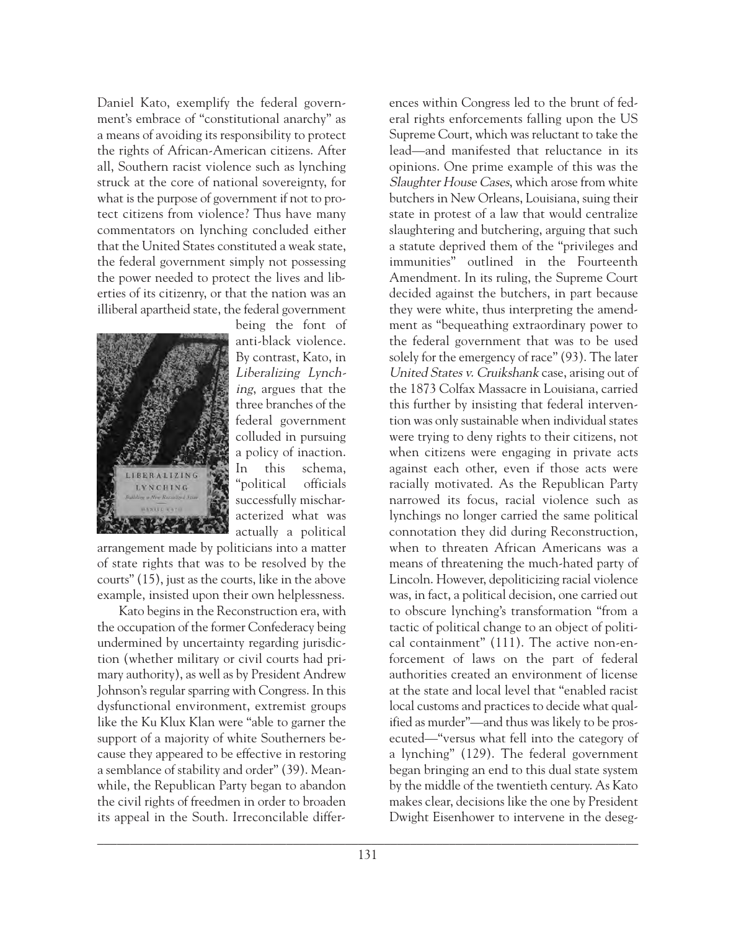Daniel Kato, exemplify the federal government's embrace of "constitutional anarchy" as a means of avoiding its responsibility to protect the rights of African-American citizens. After all, Southern racist violence such as lynching struck at the core of national sovereignty, for what is the purpose of government if not to protect citizens from violence? Thus have many commentators on lynching concluded either that the United States constituted a weak state, the federal government simply not possessing the power needed to protect the lives and liberties of its citizenry, or that the nation was an illiberal apartheid state, the federal government



being the font of anti-black violence. By contrast, Kato, in Liberalizing Lynching, argues that the three branches of the federal government colluded in pursuing a policy of inaction. In this schema, "political officials successfully mischaracterized what was actually a political

arrangement made by politicians into a matter of state rights that was to be resolved by the courts" (15), just as the courts, like in the above example, insisted upon their own helplessness.

Kato begins in the Reconstruction era, with the occupation of the former Confederacy being undermined by uncertainty regarding jurisdiction (whether military or civil courts had primary authority), as well as by President Andrew Johnson's regular sparring with Congress. In this dysfunctional environment, extremist groups like the Ku Klux Klan were "able to garner the support of a majority of white Southerners because they appeared to be effective in restoring a semblance of stability and order" (39). Meanwhile, the Republican Party began to abandon the civil rights of freedmen in order to broaden its appeal in the South. Irreconcilable differ-

ences within Congress led to the brunt of federal rights enforcements falling upon the US Supreme Court, which was reluctant to take the lead—and manifested that reluctance in its opinions. One prime example of this was the Slaughter House Cases, which arose from white butchers in New Orleans, Louisiana, suing their state in protest of a law that would centralize slaughtering and butchering, arguing that such a statute deprived them of the "privileges and immunities" outlined in the Fourteenth Amendment. In its ruling, the Supreme Court decided against the butchers, in part because they were white, thus interpreting the amendment as "bequeathing extraordinary power to the federal government that was to be used solely for the emergency of race" (93). The later United States v. Cruikshank case, arising out of the 1873 Colfax Massacre in Louisiana, carried this further by insisting that federal intervention was only sustainable when individual states were trying to deny rights to their citizens, not when citizens were engaging in private acts against each other, even if those acts were racially motivated. As the Republican Party narrowed its focus, racial violence such as lynchings no longer carried the same political connotation they did during Reconstruction, when to threaten African Americans was a means of threatening the much-hated party of Lincoln. However, depoliticizing racial violence was, in fact, a political decision, one carried out to obscure lynching's transformation "from a tactic of political change to an object of political containment" (111). The active non-enforcement of laws on the part of federal authorities created an environment of license at the state and local level that "enabled racist local customs and practices to decide what qualified as murder"—and thus was likely to be prosecuted—"versus what fell into the category of a lynching" (129). The federal government began bringing an end to this dual state system by the middle of the twentieth century. As Kato makes clear, decisions like the one by President Dwight Eisenhower to intervene in the deseg-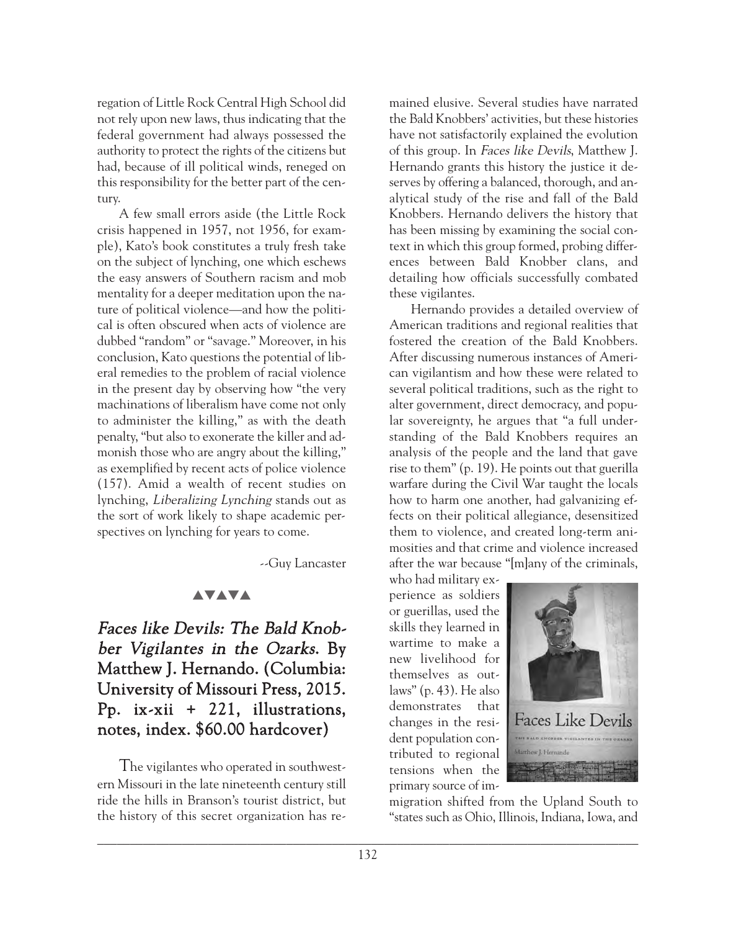regation of Little Rock Central High School did not rely upon new laws, thus indicating that the federal government had always possessed the authority to protect the rights of the citizens but had, because of ill political winds, reneged on this responsibility for the better part of the century.

A few small errors aside (the Little Rock crisis happened in 1957, not 1956, for example), Kato's book constitutes a truly fresh take on the subject of lynching, one which eschews the easy answers of Southern racism and mob mentality for a deeper meditation upon the nature of political violence—and how the political is often obscured when acts of violence are dubbed "random" or "savage." Moreover, in his conclusion, Kato questions the potential of liberal remedies to the problem of racial violence in the present day by observing how "the very machinations of liberalism have come not only to administer the killing," as with the death penalty, "but also to exonerate the killer and admonish those who are angry about the killing," as exemplified by recent acts of police violence (157). Amid a wealth of recent studies on lynching, Liberalizing Lynching stands out as the sort of work likely to shape academic perspectives on lynching for years to come.

--Guy Lancaster

## **AVAVA**

Faces like Devils: The Bald Knobber Vigilantes in the Ozarks. By Matthew J. Hernando. (Columbia: University of Missouri Press, 2015. Pp. ix-xii + 221, illustrations, notes, index. \$60.00 hardcover)

The vigilantes who operated in southwestern Missouri in the late nineteenth century still ride the hills in Branson's tourist district, but the history of this secret organization has re-

mained elusive. Several studies have narrated the Bald Knobbers' activities, but these histories have not satisfactorily explained the evolution of this group. In Faces like Devils, Matthew J. Hernando grants this history the justice it deserves by offering a balanced, thorough, and analytical study of the rise and fall of the Bald Knobbers. Hernando delivers the history that has been missing by examining the social context in which this group formed, probing differences between Bald Knobber clans, and detailing how officials successfully combated these vigilantes.

Hernando provides a detailed overview of American traditions and regional realities that fostered the creation of the Bald Knobbers. After discussing numerous instances of American vigilantism and how these were related to several political traditions, such as the right to alter government, direct democracy, and popular sovereignty, he argues that "a full understanding of the Bald Knobbers requires an analysis of the people and the land that gave rise to them" (p. 19). He points out that guerilla warfare during the Civil War taught the locals how to harm one another, had galvanizing effects on their political allegiance, desensitized them to violence, and created long-term animosities and that crime and violence increased after the war because "[m]any of the criminals,

who had military experience as soldiers or guerillas, used the skills they learned in wartime to make a new livelihood for themselves as outlaws" (p. 43). He also demonstrates that changes in the resident population contributed to regional tensions when the primary source of im-



migration shifted from the Upland South to "states such as Ohio, Illinois, Indiana, Iowa, and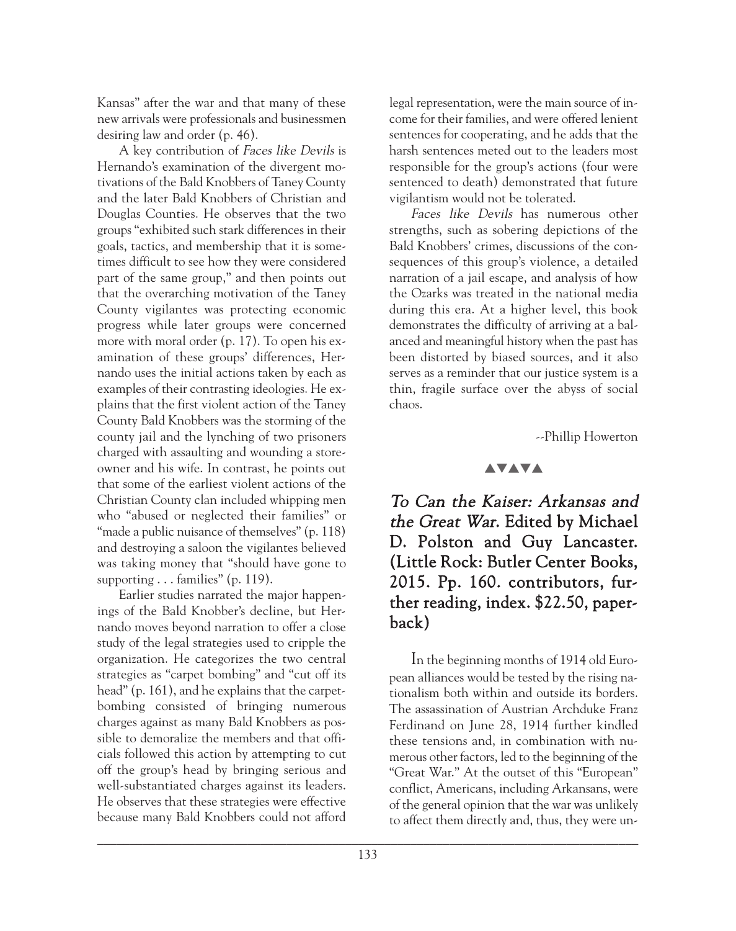Kansas" after the war and that many of these new arrivals were professionals and businessmen desiring law and order (p. 46).

A key contribution of Faces like Devils is Hernando's examination of the divergent motivations of the Bald Knobbers of Taney County and the later Bald Knobbers of Christian and Douglas Counties. He observes that the two groups "exhibited such stark differences in their goals, tactics, and membership that it is sometimes difficult to see how they were considered part of the same group," and then points out that the overarching motivation of the Taney County vigilantes was protecting economic progress while later groups were concerned more with moral order (p. 17). To open his examination of these groups' differences, Hernando uses the initial actions taken by each as examples of their contrasting ideologies. He explains that the first violent action of the Taney County Bald Knobbers was the storming of the county jail and the lynching of two prisoners charged with assaulting and wounding a storeowner and his wife. In contrast, he points out that some of the earliest violent actions of the Christian County clan included whipping men who "abused or neglected their families" or "made a public nuisance of themselves" (p. 118) and destroying a saloon the vigilantes believed was taking money that "should have gone to supporting  $\ldots$  families" (p. 119).

Earlier studies narrated the major happenings of the Bald Knobber's decline, but Hernando moves beyond narration to offer a close study of the legal strategies used to cripple the organization. He categorizes the two central strategies as "carpet bombing" and "cut off its head" (p. 161), and he explains that the carpetbombing consisted of bringing numerous charges against as many Bald Knobbers as possible to demoralize the members and that officials followed this action by attempting to cut off the group's head by bringing serious and well-substantiated charges against its leaders. He observes that these strategies were effective because many Bald Knobbers could not afford

legal representation, were the main source of income for their families, and were offered lenient sentences for cooperating, and he adds that the harsh sentences meted out to the leaders most responsible for the group's actions (four were sentenced to death) demonstrated that future vigilantism would not be tolerated.

Faces like Devils has numerous other strengths, such as sobering depictions of the Bald Knobbers' crimes, discussions of the consequences of this group's violence, a detailed narration of a jail escape, and analysis of how the Ozarks was treated in the national media during this era. At a higher level, this book demonstrates the difficulty of arriving at a balanced and meaningful history when the past has been distorted by biased sources, and it also serves as a reminder that our justice system is a thin, fragile surface over the abyss of social chaos.

--Phillip Howerton

#### **AVAVA**

To Can the Kaiser: Arkansas and the Great War. Edited by Michael D. Polston and Guy Lancaster. (Little Rock: Butler Center Books, 2015. Pp. 160. contributors, further reading, index. \$22.50, paperback)

In the beginning months of 1914 old European alliances would be tested by the rising nationalism both within and outside its borders. The assassination of Austrian Archduke Franz Ferdinand on June 28, 1914 further kindled these tensions and, in combination with numerous other factors, led to the beginning of the "Great War." At the outset of this "European" conflict, Americans, including Arkansans, were of the general opinion that the war was unlikely to affect them directly and, thus, they were un-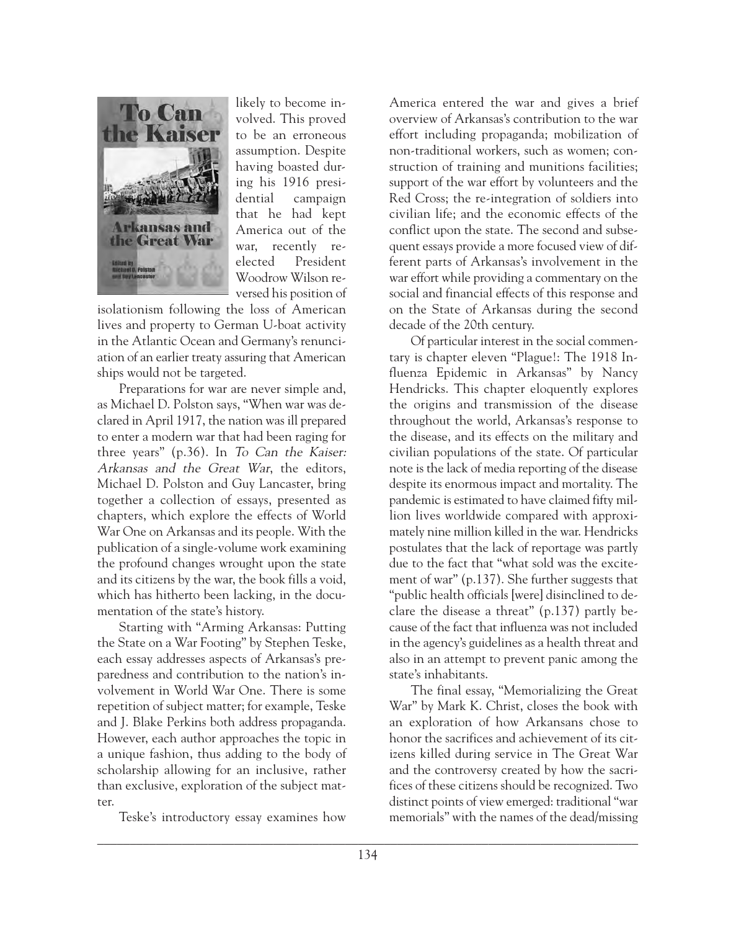

likely to become involved. This proved to be an erroneous assumption. Despite having boasted during his 1916 presidential campaign that he had kept America out of the war, recently reelected President Woodrow Wilson reversed his position of

isolationism following the loss of American lives and property to German U-boat activity in the Atlantic Ocean and Germany's renunciation of an earlier treaty assuring that American ships would not be targeted.

Preparations for war are never simple and, as Michael D. Polston says, "When war was declared in April 1917, the nation was ill prepared to enter a modern war that had been raging for three years" (p.36). In To Can the Kaiser: Arkansas and the Great War, the editors, Michael D. Polston and Guy Lancaster, bring together a collection of essays, presented as chapters, which explore the effects of World War One on Arkansas and its people. With the publication of a single-volume work examining the profound changes wrought upon the state and its citizens by the war, the book fills a void, which has hitherto been lacking, in the documentation of the state's history.

Starting with "Arming Arkansas: Putting the State on a War Footing" by Stephen Teske, each essay addresses aspects of Arkansas's preparedness and contribution to the nation's involvement in World War One. There is some repetition of subject matter; for example, Teske and J. Blake Perkins both address propaganda. However, each author approaches the topic in a unique fashion, thus adding to the body of scholarship allowing for an inclusive, rather than exclusive, exploration of the subject matter.

Teske's introductory essay examines how

America entered the war and gives a brief overview of Arkansas's contribution to the war effort including propaganda; mobilization of non-traditional workers, such as women; construction of training and munitions facilities; support of the war effort by volunteers and the Red Cross; the re-integration of soldiers into civilian life; and the economic effects of the conflict upon the state. The second and subsequent essays provide a more focused view of different parts of Arkansas's involvement in the war effort while providing a commentary on the social and financial effects of this response and on the State of Arkansas during the second decade of the 20th century.

Of particular interest in the social commentary is chapter eleven "Plague!: The 1918 Influenza Epidemic in Arkansas" by Nancy Hendricks. This chapter eloquently explores the origins and transmission of the disease throughout the world, Arkansas's response to the disease, and its effects on the military and civilian populations of the state. Of particular note is the lack of media reporting of the disease despite its enormous impact and mortality. The pandemic is estimated to have claimed fifty million lives worldwide compared with approximately nine million killed in the war. Hendricks postulates that the lack of reportage was partly due to the fact that "what sold was the excitement of war" (p.137). She further suggests that "public health officials [were] disinclined to declare the disease a threat" (p.137) partly because of the fact that influenza was not included in the agency's guidelines as a health threat and also in an attempt to prevent panic among the state's inhabitants.

The final essay, "Memorializing the Great War" by Mark K. Christ, closes the book with an exploration of how Arkansans chose to honor the sacrifices and achievement of its citizens killed during service in The Great War and the controversy created by how the sacrifices of these citizens should be recognized. Two distinct points of view emerged: traditional "war memorials" with the names of the dead/missing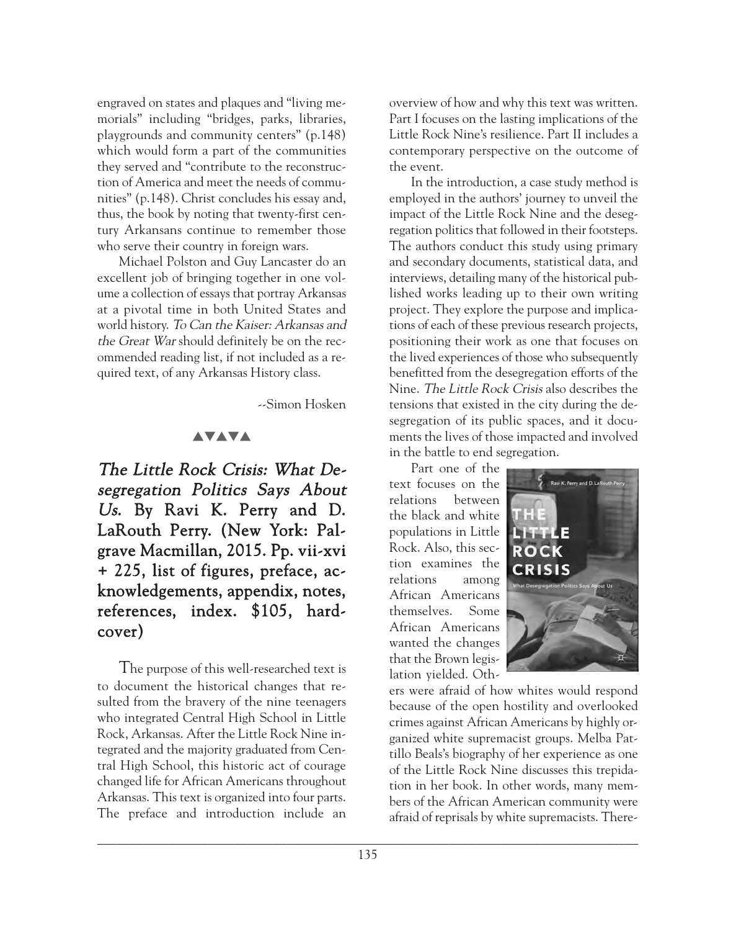engraved on states and plaques and "living memorials" including "bridges, parks, libraries, playgrounds and community centers" (p.148) which would form a part of the communities they served and "contribute to the reconstruction of America and meet the needs of communities" (p.148). Christ concludes his essay and, thus, the book by noting that twenty-first century Arkansans continue to remember those who serve their country in foreign wars.

Michael Polston and Guy Lancaster do an excellent job of bringing together in one volume a collection of essays that portray Arkansas at a pivotal time in both United States and world history. To Can the Kaiser: Arkansas and the Great War should definitely be on the recommended reading list, if not included as a required text, of any Arkansas History class.

--Simon Hosken

## **AVAVA**

The Little Rock Crisis: What Desegregation Politics Says About Us. By Ravi K. Perry and D. LaRouth Perry. (New York: Palgrave Macmillan, 2015. Pp. vii-xvi + 225, list of figures, preface, acknowledgements, appendix, notes, references, index. \$105, hardcover)

The purpose of this well-researched text is to document the historical changes that resulted from the bravery of the nine teenagers who integrated Central High School in Little Rock, Arkansas. After the Little Rock Nine integrated and the majority graduated from Central High School, this historic act of courage changed life for African Americans throughout Arkansas. This text is organized into four parts. The preface and introduction include an

overview of how and why this text was written. Part I focuses on the lasting implications of the Little Rock Nine's resilience. Part II includes a contemporary perspective on the outcome of the event.

In the introduction, a case study method is employed in the authors' journey to unveil the impact of the Little Rock Nine and the desegregation politics that followed in their footsteps. The authors conduct this study using primary and secondary documents, statistical data, and interviews, detailing many of the historical published works leading up to their own writing project. They explore the purpose and implications of each of these previous research projects, positioning their work as one that focuses on the lived experiences of those who subsequently benefitted from the desegregation efforts of the Nine. The Little Rock Crisis also describes the tensions that existed in the city during the desegregation of its public spaces, and it documents the lives of those impacted and involved in the battle to end segregation.

Part one of the text focuses on the relations between the black and white populations in Little Rock. Also, this section examines the relations among African Americans themselves. Some African Americans wanted the changes that the Brown legislation yielded. Oth-



ers were afraid of how whites would respond because of the open hostility and overlooked crimes against African Americans by highly organized white supremacist groups. Melba Pattillo Beals's biography of her experience as one of the Little Rock Nine discusses this trepidation in her book. In other words, many members of the African American community were afraid of reprisals by white supremacists. There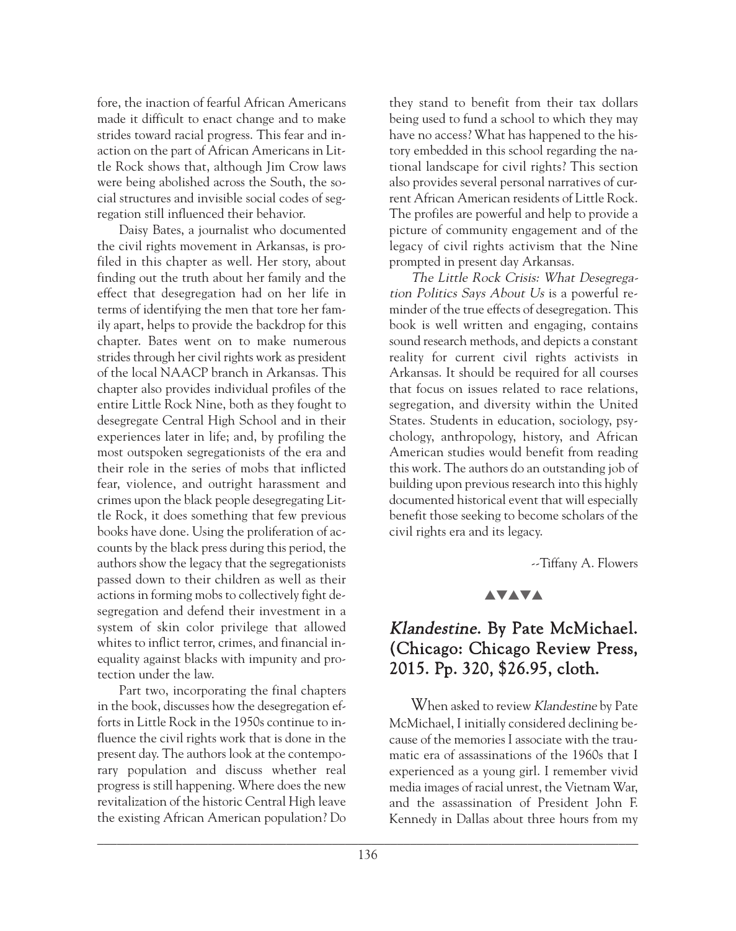fore, the inaction of fearful African Americans made it difficult to enact change and to make strides toward racial progress. This fear and inaction on the part of African Americans in Little Rock shows that, although Jim Crow laws were being abolished across the South, the social structures and invisible social codes of segregation still influenced their behavior.

Daisy Bates, a journalist who documented the civil rights movement in Arkansas, is profiled in this chapter as well. Her story, about finding out the truth about her family and the effect that desegregation had on her life in terms of identifying the men that tore her family apart, helps to provide the backdrop for this chapter. Bates went on to make numerous strides through her civil rights work as president of the local NAACP branch in Arkansas. This chapter also provides individual profiles of the entire Little Rock Nine, both as they fought to desegregate Central High School and in their experiences later in life; and, by profiling the most outspoken segregationists of the era and their role in the series of mobs that inflicted fear, violence, and outright harassment and crimes upon the black people desegregating Little Rock, it does something that few previous books have done. Using the proliferation of accounts by the black press during this period, the authors show the legacy that the segregationists passed down to their children as well as their actions in forming mobs to collectively fight desegregation and defend their investment in a system of skin color privilege that allowed whites to inflict terror, crimes, and financial inequality against blacks with impunity and protection under the law.

Part two, incorporating the final chapters in the book, discusses how the desegregation efforts in Little Rock in the 1950s continue to influence the civil rights work that is done in the present day. The authors look at the contemporary population and discuss whether real progress is still happening. Where does the new revitalization of the historic Central High leave the existing African American population? Do

they stand to benefit from their tax dollars being used to fund a school to which they may have no access? What has happened to the history embedded in this school regarding the national landscape for civil rights? This section also provides several personal narratives of current African American residents of Little Rock. The profiles are powerful and help to provide a picture of community engagement and of the legacy of civil rights activism that the Nine prompted in present day Arkansas.

The Little Rock Crisis: What Desegregation Politics Says About Us is a powerful reminder of the true effects of desegregation. This book is well written and engaging, contains sound research methods, and depicts a constant reality for current civil rights activists in Arkansas. It should be required for all courses that focus on issues related to race relations, segregation, and diversity within the United States. Students in education, sociology, psychology, anthropology, history, and African American studies would benefit from reading this work. The authors do an outstanding job of building upon previous research into this highly documented historical event that will especially benefit those seeking to become scholars of the civil rights era and its legacy.

--Tiffany A. Flowers

## **AVAVA**

# Klandestine. By Pate McMichael. (Chicago: Chicago Review Press, 2015. Pp. 320, \$26.95, cloth.

When asked to review Klandestine by Pate McMichael, I initially considered declining because of the memories I associate with the traumatic era of assassinations of the 1960s that I experienced as a young girl. I remember vivid media images of racial unrest, the Vietnam War, and the assassination of President John F. Kennedy in Dallas about three hours from my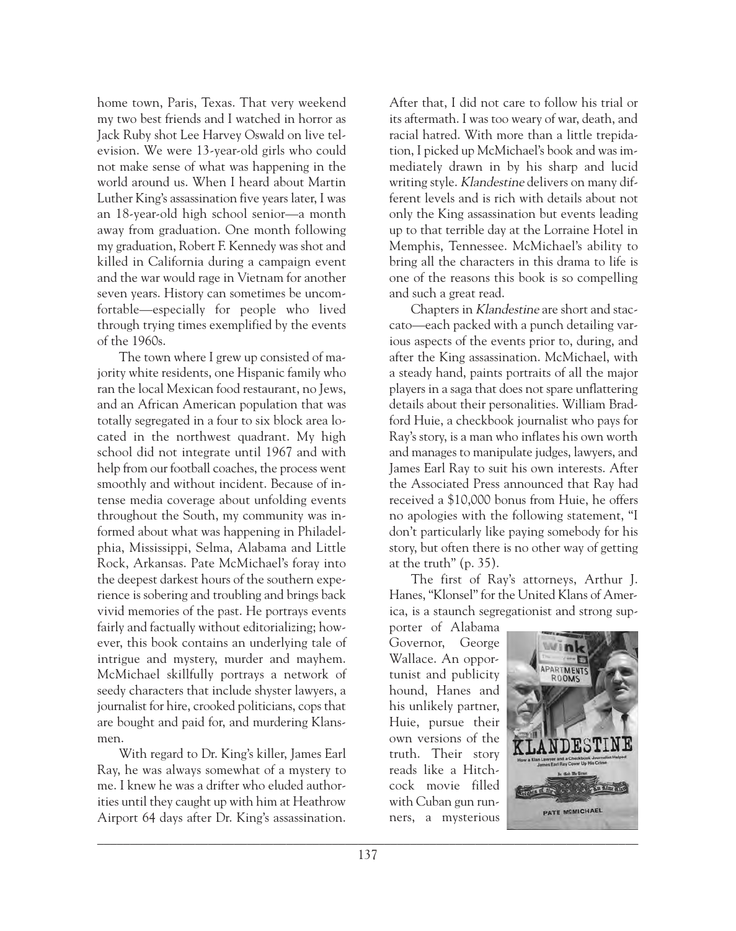home town, Paris, Texas. That very weekend my two best friends and I watched in horror as Jack Ruby shot Lee Harvey Oswald on live television. We were 13-year-old girls who could not make sense of what was happening in the world around us. When I heard about Martin Luther King's assassination five years later, I was an 18-year-old high school senior—a month away from graduation. One month following my graduation, Robert F. Kennedy was shot and killed in California during a campaign event and the war would rage in Vietnam for another seven years. History can sometimes be uncomfortable—especially for people who lived through trying times exemplified by the events of the 1960s.

The town where I grew up consisted of majority white residents, one Hispanic family who ran the local Mexican food restaurant, no Jews, and an African American population that was totally segregated in a four to six block area located in the northwest quadrant. My high school did not integrate until 1967 and with help from our football coaches, the process went smoothly and without incident. Because of intense media coverage about unfolding events throughout the South, my community was informed about what was happening in Philadelphia, Mississippi, Selma, Alabama and Little Rock, Arkansas. Pate McMichael's foray into the deepest darkest hours of the southern experience is sobering and troubling and brings back vivid memories of the past. He portrays events fairly and factually without editorializing; however, this book contains an underlying tale of intrigue and mystery, murder and mayhem. McMichael skillfully portrays a network of seedy characters that include shyster lawyers, a journalist for hire, crooked politicians, cops that are bought and paid for, and murdering Klansmen.

With regard to Dr. King's killer, James Earl Ray, he was always somewhat of a mystery to me. I knew he was a drifter who eluded authorities until they caught up with him at Heathrow Airport 64 days after Dr. King's assassination. After that, I did not care to follow his trial or its aftermath. I was too weary of war, death, and racial hatred. With more than a little trepidation, I picked up McMichael's book and was immediately drawn in by his sharp and lucid writing style. Klandestine delivers on many different levels and is rich with details about not only the King assassination but events leading up to that terrible day at the Lorraine Hotel in Memphis, Tennessee. McMichael's ability to bring all the characters in this drama to life is one of the reasons this book is so compelling and such a great read.

Chapters in Klandestine are short and staccato—each packed with a punch detailing various aspects of the events prior to, during, and after the King assassination. McMichael, with a steady hand, paints portraits of all the major players in a saga that does not spare unflattering details about their personalities. William Bradford Huie, a checkbook journalist who pays for Ray's story, is a man who inflates his own worth and manages to manipulate judges, lawyers, and James Earl Ray to suit his own interests. After the Associated Press announced that Ray had received a \$10,000 bonus from Huie, he offers no apologies with the following statement, "I don't particularly like paying somebody for his story, but often there is no other way of getting at the truth" (p. 35).

The first of Ray's attorneys, Arthur J. Hanes, "Klonsel" for the United Klans of America, is a staunch segregationist and strong sup-

porter of Alabama Governor, George Wallace. An opportunist and publicity hound, Hanes and his unlikely partner, Huie, pursue their own versions of the truth. Their story reads like a Hitchcock movie filled with Cuban gun runners, a mysterious

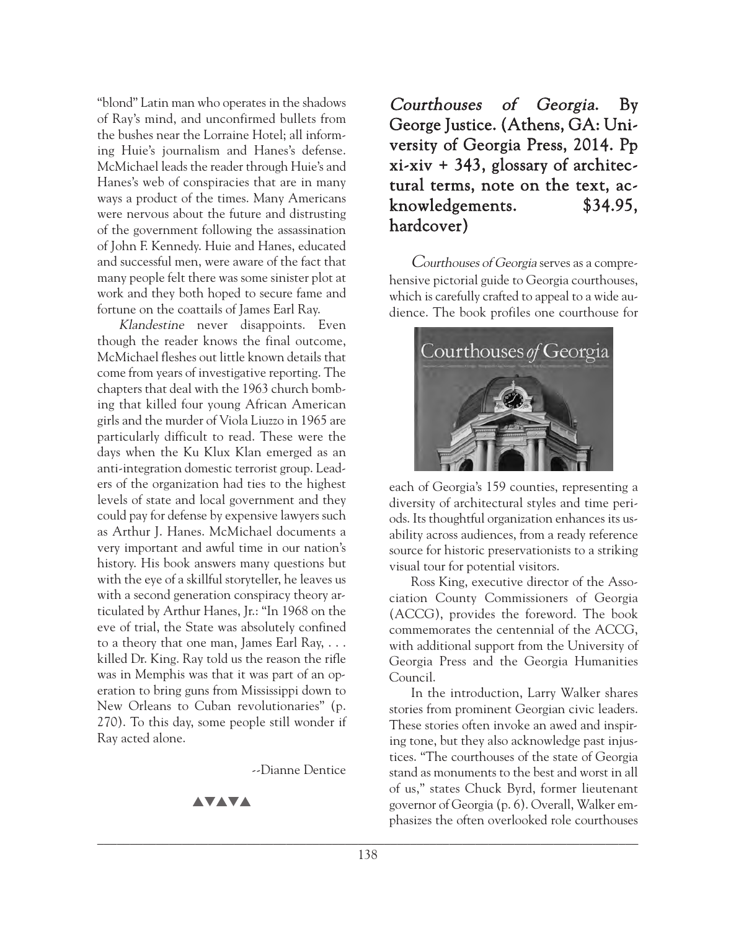"blond" Latin man who operates in the shadows of Ray's mind, and unconfirmed bullets from the bushes near the Lorraine Hotel; all informing Huie's journalism and Hanes's defense. McMichael leads the reader through Huie's and Hanes's web of conspiracies that are in many ways a product of the times. Many Americans were nervous about the future and distrusting of the government following the assassination of John F. Kennedy. Huie and Hanes, educated and successful men, were aware of the fact that many people felt there was some sinister plot at work and they both hoped to secure fame and fortune on the coattails of James Earl Ray.

Klandestine never disappoints. Even though the reader knows the final outcome, McMichael fleshes out little known details that come from years of investigative reporting. The chapters that deal with the 1963 church bombing that killed four young African American girls and the murder of Viola Liuzzo in 1965 are particularly difficult to read. These were the days when the Ku Klux Klan emerged as an anti-integration domestic terrorist group. Leaders of the organization had ties to the highest levels of state and local government and they could pay for defense by expensive lawyers such as Arthur J. Hanes. McMichael documents a very important and awful time in our nation's history. His book answers many questions but with the eye of a skillful storyteller, he leaves us with a second generation conspiracy theory articulated by Arthur Hanes, Jr.: "In 1968 on the eve of trial, the State was absolutely confined to a theory that one man, James Earl Ray, . . . killed Dr. King. Ray told us the reason the rifle was in Memphis was that it was part of an operation to bring guns from Mississippi down to New Orleans to Cuban revolutionaries" (p. 270). To this day, some people still wonder if Ray acted alone.

--Dianne Dentice

**AVAVA** 

Courthouses of Georgia. By George Justice. (Athens, GA: University of Georgia Press, 2014. Pp xi-xiv + 343, glossary of architectural terms, note on the text, acknowledgements. \$34.95, hardcover)

Courthouses of Georgia serves as a comprehensive pictorial guide to Georgia courthouses, which is carefully crafted to appeal to a wide audience. The book profiles one courthouse for



each of Georgia's 159 counties, representing a diversity of architectural styles and time periods. Its thoughtful organization enhances its usability across audiences, from a ready reference source for historic preservationists to a striking visual tour for potential visitors.

Ross King, executive director of the Association County Commissioners of Georgia (ACCG), provides the foreword. The book commemorates the centennial of the ACCG, with additional support from the University of Georgia Press and the Georgia Humanities Council.

In the introduction, Larry Walker shares stories from prominent Georgian civic leaders. These stories often invoke an awed and inspiring tone, but they also acknowledge past injustices. "The courthouses of the state of Georgia stand as monuments to the best and worst in all of us," states Chuck Byrd, former lieutenant governor of Georgia (p. 6). Overall, Walker emphasizes the often overlooked role courthouses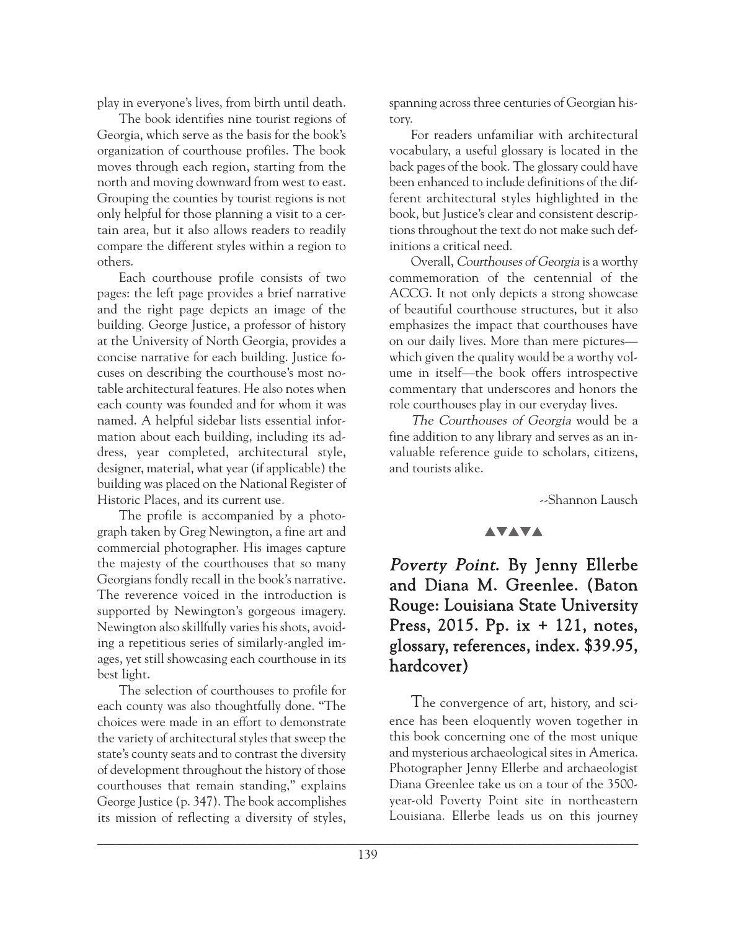play in everyone's lives, from birth until death.

The book identifies nine tourist regions of Georgia, which serve as the basis for the book's organization of courthouse profiles. The book moves through each region, starting from the north and moving downward from west to east. Grouping the counties by tourist regions is not only helpful for those planning a visit to a certain area, but it also allows readers to readily compare the different styles within a region to others.

Each courthouse profile consists of two pages: the left page provides a brief narrative and the right page depicts an image of the building. George Justice, a professor of history at the University of North Georgia, provides a concise narrative for each building. Justice focuses on describing the courthouse's most notable architectural features. He also notes when each county was founded and for whom it was named. A helpful sidebar lists essential information about each building, including its address, year completed, architectural style, designer, material, what year (if applicable) the building was placed on the National Register of Historic Places, and its current use.

The profile is accompanied by a photograph taken by Greg Newington, a fine art and commercial photographer. His images capture the majesty of the courthouses that so many Georgians fondly recall in the book's narrative. The reverence voiced in the introduction is supported by Newington's gorgeous imagery. Newington also skillfully varies his shots, avoiding a repetitious series of similarly-angled images, yet still showcasing each courthouse in its best light.

The selection of courthouses to profile for each county was also thoughtfully done. "The choices were made in an effort to demonstrate the variety of architectural styles that sweep the state's county seats and to contrast the diversity of development throughout the history of those courthouses that remain standing," explains George Justice (p. 347). The book accomplishes its mission of reflecting a diversity of styles,

spanning across three centuries of Georgian history.

For readers unfamiliar with architectural vocabulary, a useful glossary is located in the back pages of the book. The glossary could have been enhanced to include definitions of the different architectural styles highlighted in the book, but Justice's clear and consistent descriptions throughout the text do not make such definitions a critical need.

Overall, Courthouses of Georgia is a worthy commemoration of the centennial of the ACCG. It not only depicts a strong showcase of beautiful courthouse structures, but it also emphasizes the impact that courthouses have on our daily lives. More than mere pictures which given the quality would be a worthy volume in itself—the book offers introspective commentary that underscores and honors the role courthouses play in our everyday lives.

The Courthouses of Georgia would be a fine addition to any library and serves as an invaluable reference guide to scholars, citizens, and tourists alike.

--Shannon Lausch

## **AVAVA**

Poverty Point. By Jenny Ellerbe and Diana M. Greenlee. (Baton Rouge: Louisiana State University Press, 2015. Pp. ix + 121, notes, glossary, references, index. \$39.95, hardcover)

The convergence of art, history, and science has been eloquently woven together in this book concerning one of the most unique and mysterious archaeological sites in America. Photographer Jenny Ellerbe and archaeologist Diana Greenlee take us on a tour of the 3500 year-old Poverty Point site in northeastern Louisiana. Ellerbe leads us on this journey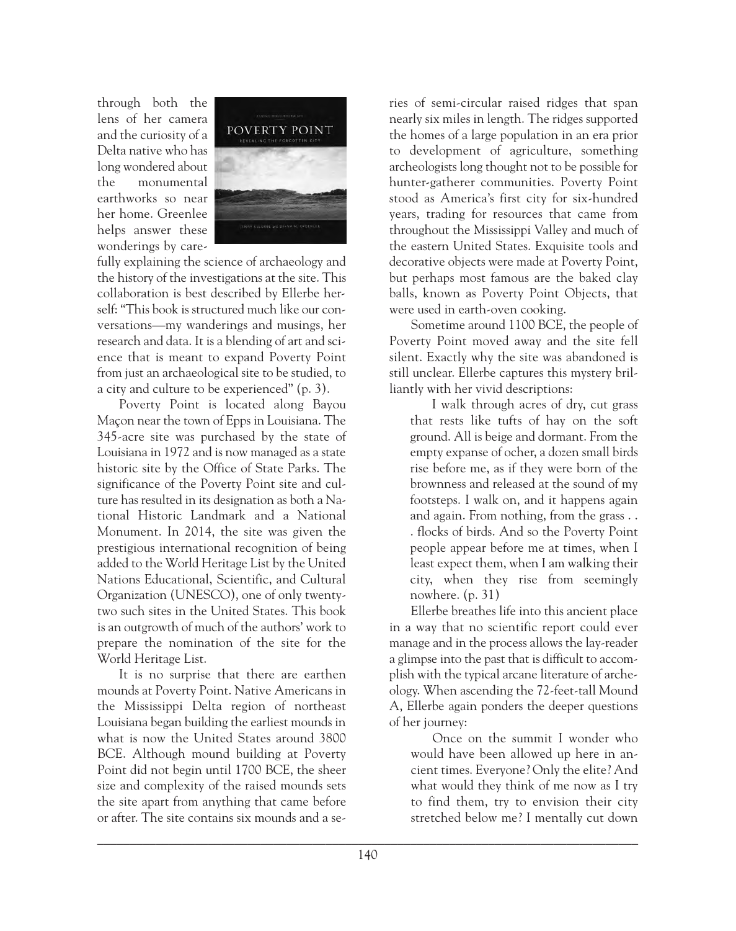through both the lens of her camera and the curiosity of a Delta native who has long wondered about the monumental earthworks so near her home. Greenlee helps answer these wonderings by care-



fully explaining the science of archaeology and the history of the investigations at the site. This collaboration is best described by Ellerbe herself: "This book is structured much like our conversations—my wanderings and musings, her research and data. It is a blending of art and science that is meant to expand Poverty Point from just an archaeological site to be studied, to a city and culture to be experienced" (p. 3).

Poverty Point is located along Bayou Maçon near the town of Epps in Louisiana. The 345-acre site was purchased by the state of Louisiana in 1972 and is now managed as a state historic site by the Office of State Parks. The significance of the Poverty Point site and culture has resulted in its designation as both a National Historic Landmark and a National Monument. In 2014, the site was given the prestigious international recognition of being added to the World Heritage List by the United Nations Educational, Scientific, and Cultural Organization (UNESCO), one of only twentytwo such sites in the United States. This book is an outgrowth of much of the authors' work to prepare the nomination of the site for the World Heritage List.

It is no surprise that there are earthen mounds at Poverty Point. Native Americans in the Mississippi Delta region of northeast Louisiana began building the earliest mounds in what is now the United States around 3800 BCE. Although mound building at Poverty Point did not begin until 1700 BCE, the sheer size and complexity of the raised mounds sets the site apart from anything that came before or after. The site contains six mounds and a series of semi-circular raised ridges that span nearly six miles in length. The ridges supported the homes of a large population in an era prior to development of agriculture, something archeologists long thought not to be possible for hunter-gatherer communities. Poverty Point stood as America's first city for six-hundred years, trading for resources that came from throughout the Mississippi Valley and much of the eastern United States. Exquisite tools and decorative objects were made at Poverty Point, but perhaps most famous are the baked clay balls, known as Poverty Point Objects, that were used in earth-oven cooking.

Sometime around 1100 BCE, the people of Poverty Point moved away and the site fell silent. Exactly why the site was abandoned is still unclear. Ellerbe captures this mystery brilliantly with her vivid descriptions:

I walk through acres of dry, cut grass that rests like tufts of hay on the soft ground. All is beige and dormant. From the empty expanse of ocher, a dozen small birds rise before me, as if they were born of the brownness and released at the sound of my footsteps. I walk on, and it happens again and again. From nothing, from the grass . . . flocks of birds. And so the Poverty Point people appear before me at times, when I least expect them, when I am walking their city, when they rise from seemingly nowhere. (p. 31)

Ellerbe breathes life into this ancient place in a way that no scientific report could ever manage and in the process allows the lay-reader a glimpse into the past that is difficult to accomplish with the typical arcane literature of archeology. When ascending the 72-feet-tall Mound A, Ellerbe again ponders the deeper questions of her journey:

Once on the summit I wonder who would have been allowed up here in ancient times. Everyone? Only the elite? And what would they think of me now as I try to find them, try to envision their city stretched below me? I mentally cut down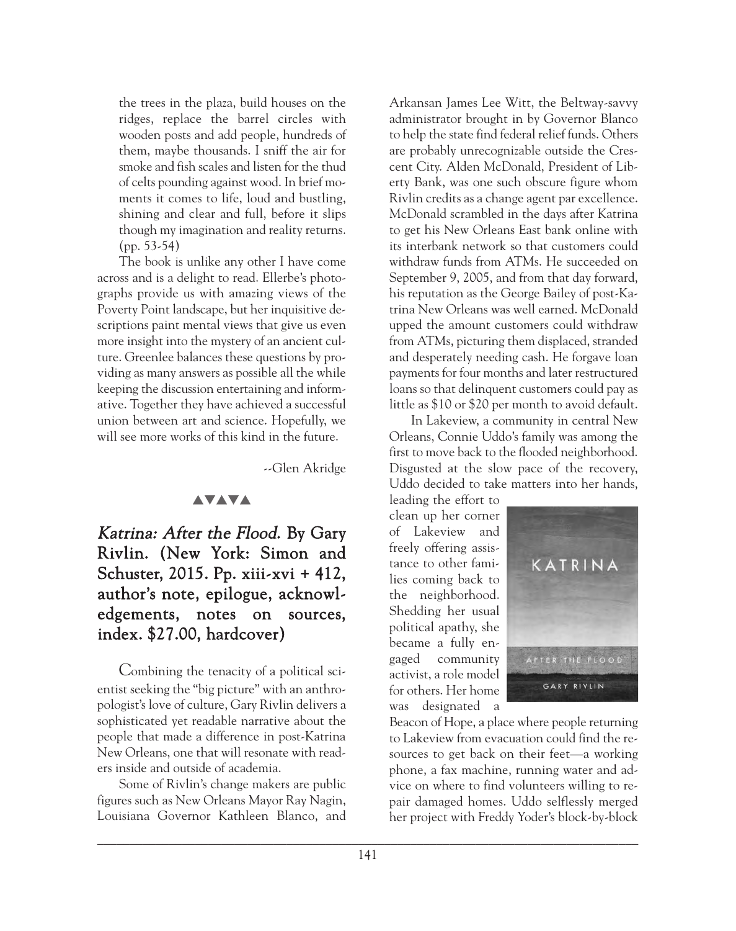the trees in the plaza, build houses on the ridges, replace the barrel circles with wooden posts and add people, hundreds of them, maybe thousands. I sniff the air for smoke and fish scales and listen for the thud of celts pounding against wood. In brief moments it comes to life, loud and bustling, shining and clear and full, before it slips though my imagination and reality returns. (pp. 53-54)

The book is unlike any other I have come across and is a delight to read. Ellerbe's photographs provide us with amazing views of the Poverty Point landscape, but her inquisitive descriptions paint mental views that give us even more insight into the mystery of an ancient culture. Greenlee balances these questions by providing as many answers as possible all the while keeping the discussion entertaining and informative. Together they have achieved a successful union between art and science. Hopefully, we will see more works of this kind in the future.

--Glen Akridge

## **AVAVA**

# Katrina: After the Flood. By Gary Rivlin. (New York: Simon and Schuster, 2015. Pp. xiii-xvi + 412, author's note, epilogue, acknowledgements, notes on sources, index. \$27.00, hardcover)

Combining the tenacity of a political scientist seeking the "big picture" with an anthropologist's love of culture, Gary Rivlin delivers a sophisticated yet readable narrative about the people that made a difference in post-Katrina New Orleans, one that will resonate with readers inside and outside of academia.

Some of Rivlin's change makers are public figures such as New Orleans Mayor Ray Nagin, Louisiana Governor Kathleen Blanco, and

Arkansan James Lee Witt, the Beltway-savvy administrator brought in by Governor Blanco to help the state find federal relief funds. Others are probably unrecognizable outside the Crescent City. Alden McDonald, President of Liberty Bank, was one such obscure figure whom Rivlin credits as a change agent par excellence. McDonald scrambled in the days after Katrina to get his New Orleans East bank online with its interbank network so that customers could withdraw funds from ATMs. He succeeded on September 9, 2005, and from that day forward, his reputation as the George Bailey of post-Katrina New Orleans was well earned. McDonald upped the amount customers could withdraw from ATMs, picturing them displaced, stranded and desperately needing cash. He forgave loan payments for four months and later restructured loans so that delinquent customers could pay as little as \$10 or \$20 per month to avoid default.

In Lakeview, a community in central New Orleans, Connie Uddo's family was among the first to move back to the flooded neighborhood. Disgusted at the slow pace of the recovery, Uddo decided to take matters into her hands,

leading the effort to clean up her corner of Lakeview and freely offering assistance to other families coming back to the neighborhood. Shedding her usual political apathy, she became a fully engaged community activist, a role model for others. Her home was designated a



Beacon of Hope, a place where people returning to Lakeview from evacuation could find the resources to get back on their feet—a working phone, a fax machine, running water and advice on where to find volunteers willing to repair damaged homes. Uddo selflessly merged her project with Freddy Yoder's block-by-block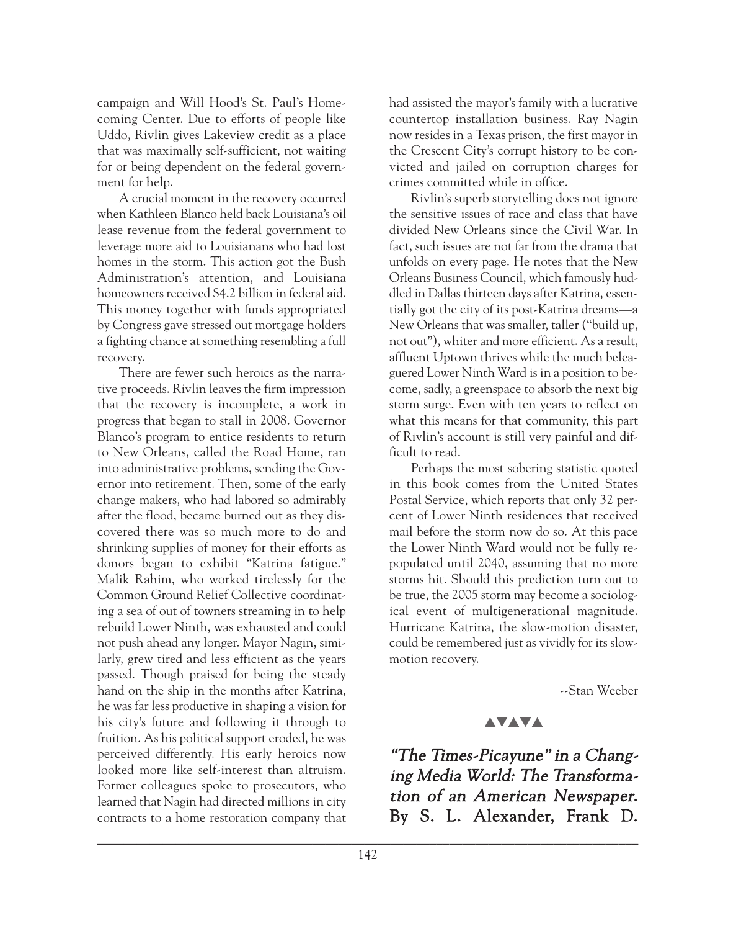campaign and Will Hood's St. Paul's Homecoming Center. Due to efforts of people like Uddo, Rivlin gives Lakeview credit as a place that was maximally self-sufficient, not waiting for or being dependent on the federal government for help.

A crucial moment in the recovery occurred when Kathleen Blanco held back Louisiana's oil lease revenue from the federal government to leverage more aid to Louisianans who had lost homes in the storm. This action got the Bush Administration's attention, and Louisiana homeowners received \$4.2 billion in federal aid. This money together with funds appropriated by Congress gave stressed out mortgage holders a fighting chance at something resembling a full recovery.

There are fewer such heroics as the narrative proceeds. Rivlin leaves the firm impression that the recovery is incomplete, a work in progress that began to stall in 2008. Governor Blanco's program to entice residents to return to New Orleans, called the Road Home, ran into administrative problems, sending the Governor into retirement. Then, some of the early change makers, who had labored so admirably after the flood, became burned out as they discovered there was so much more to do and shrinking supplies of money for their efforts as donors began to exhibit "Katrina fatigue." Malik Rahim, who worked tirelessly for the Common Ground Relief Collective coordinating a sea of out of towners streaming in to help rebuild Lower Ninth, was exhausted and could not push ahead any longer. Mayor Nagin, similarly, grew tired and less efficient as the years passed. Though praised for being the steady hand on the ship in the months after Katrina, he was far less productive in shaping a vision for his city's future and following it through to fruition. As his political support eroded, he was perceived differently. His early heroics now looked more like self-interest than altruism. Former colleagues spoke to prosecutors, who learned that Nagin had directed millions in city contracts to a home restoration company that had assisted the mayor's family with a lucrative countertop installation business. Ray Nagin now resides in a Texas prison, the first mayor in the Crescent City's corrupt history to be convicted and jailed on corruption charges for crimes committed while in office.

Rivlin's superb storytelling does not ignore the sensitive issues of race and class that have divided New Orleans since the Civil War. In fact, such issues are not far from the drama that unfolds on every page. He notes that the New Orleans Business Council, which famously huddled in Dallas thirteen days after Katrina, essentially got the city of its post-Katrina dreams—a New Orleans that was smaller, taller ("build up, not out"), whiter and more efficient. As a result, affluent Uptown thrives while the much beleaguered Lower Ninth Ward is in a position to become, sadly, a greenspace to absorb the next big storm surge. Even with ten years to reflect on what this means for that community, this part of Rivlin's account is still very painful and difficult to read.

Perhaps the most sobering statistic quoted in this book comes from the United States Postal Service, which reports that only 32 percent of Lower Ninth residences that received mail before the storm now do so. At this pace the Lower Ninth Ward would not be fully repopulated until 2040, assuming that no more storms hit. Should this prediction turn out to be true, the 2005 storm may become a sociological event of multigenerational magnitude. Hurricane Katrina, the slow-motion disaster, could be remembered just as vividly for its slowmotion recovery.

--Stan Weeber

## **AVAVA**

"The Times-Picayune" in a Changing Media World: The Transformation of an American Newspaper. By S. L. Alexander, Frank D.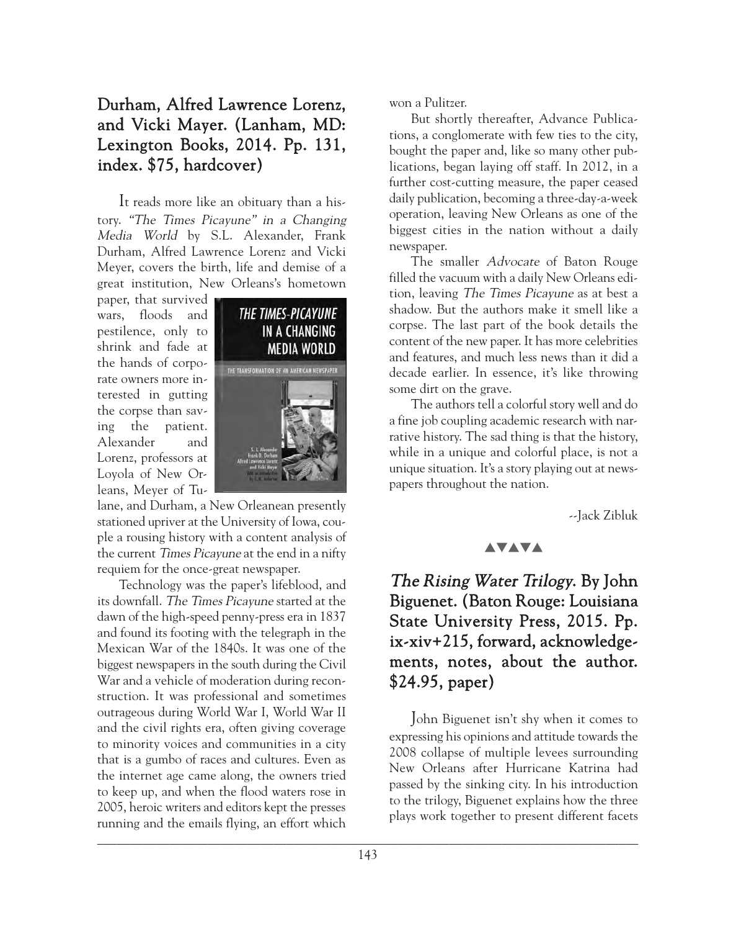# Durham, Alfred Lawrence Lorenz, and Vicki Mayer. (Lanham, MD: Lexington Books, 2014. Pp. 131, index. \$75, hardcover)

It reads more like an obituary than a history. "The Times Picayune" in a Changing Media World by S.L. Alexander, Frank Durham, Alfred Lawrence Lorenz and Vicki Meyer, covers the birth, life and demise of a great institution, New Orleans's hometown

paper, that survived wars, floods and pestilence, only to shrink and fade at the hands of corporate owners more interested in gutting the corpse than saving the patient. Alexander and Lorenz, professors at Loyola of New Orleans, Meyer of Tu-



lane, and Durham, a New Orleanean presently stationed upriver at the University of Iowa, couple a rousing history with a content analysis of the current Times Picayune at the end in a nifty requiem for the once-great newspaper.

Technology was the paper's lifeblood, and its downfall. The Times Picayune started at the dawn of the high-speed penny-press era in 1837 and found its footing with the telegraph in the Mexican War of the 1840s. It was one of the biggest newspapers in the south during the Civil War and a vehicle of moderation during reconstruction. It was professional and sometimes outrageous during World War I, World War II and the civil rights era, often giving coverage to minority voices and communities in a city that is a gumbo of races and cultures. Even as the internet age came along, the owners tried to keep up, and when the flood waters rose in 2005, heroic writers and editors kept the presses running and the emails flying, an effort which

won a Pulitzer.

But shortly thereafter, Advance Publications, a conglomerate with few ties to the city, bought the paper and, like so many other publications, began laying off staff. In 2012, in a further cost-cutting measure, the paper ceased daily publication, becoming a three-day-a-week operation, leaving New Orleans as one of the biggest cities in the nation without a daily newspaper.

The smaller Advocate of Baton Rouge filled the vacuum with a daily New Orleans edition, leaving The Times Picayune as at best a shadow. But the authors make it smell like a corpse. The last part of the book details the content of the new paper. It has more celebrities and features, and much less news than it did a decade earlier. In essence, it's like throwing some dirt on the grave.

The authors tell a colorful story well and do a fine job coupling academic research with narrative history. The sad thing is that the history, while in a unique and colorful place, is not a unique situation. It's a story playing out at newspapers throughout the nation.

--Jack Zibluk

## **AVAVA**

The Rising Water Trilogy. By John Biguenet. (Baton Rouge: Louisiana State University Press, 2015. Pp. ix-xiv+215, forward, acknowledgements, notes, about the author. \$24.95, paper)

John Biguenet isn't shy when it comes to expressing his opinions and attitude towards the 2008 collapse of multiple levees surrounding New Orleans after Hurricane Katrina had passed by the sinking city. In his introduction to the trilogy, Biguenet explains how the three plays work together to present different facets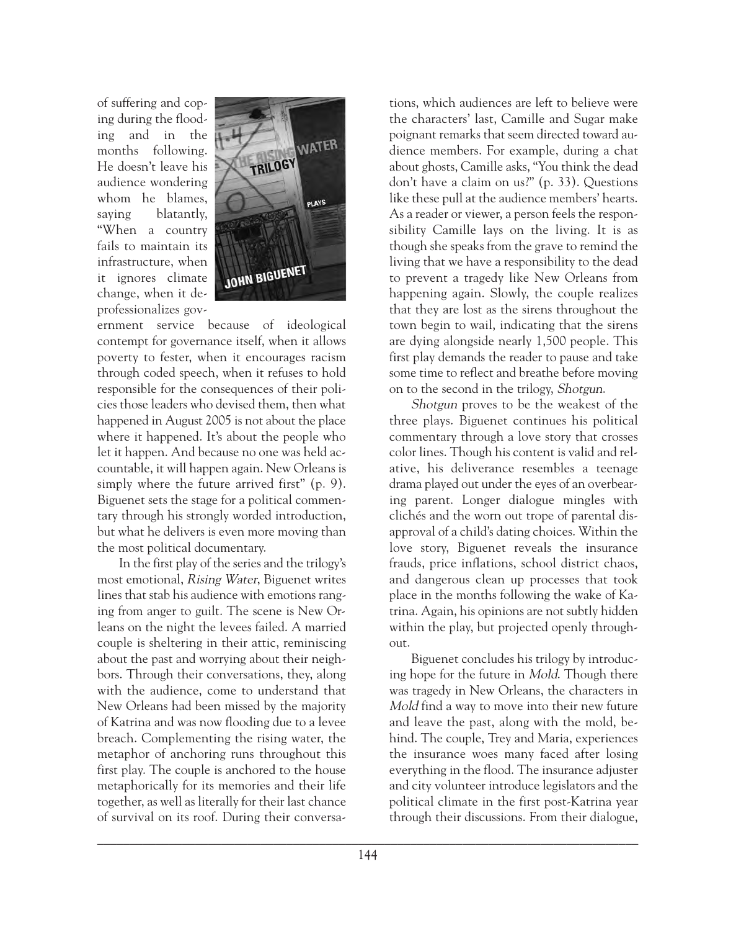of suffering and coping during the flooding and in the months following. He doesn't leave his audience wondering whom he blames, saying blatantly, "When a country fails to maintain its infrastructure, when it ignores climate change, when it deprofessionalizes gov-



ernment service because of ideological contempt for governance itself, when it allows poverty to fester, when it encourages racism through coded speech, when it refuses to hold responsible for the consequences of their policies those leaders who devised them, then what happened in August 2005 is not about the place where it happened. It's about the people who let it happen. And because no one was held accountable, it will happen again. New Orleans is simply where the future arrived first" (p. 9). Biguenet sets the stage for a political commentary through his strongly worded introduction, but what he delivers is even more moving than the most political documentary.

In the first play of the series and the trilogy's most emotional, Rising Water, Biguenet writes lines that stab his audience with emotions ranging from anger to guilt. The scene is New Orleans on the night the levees failed. A married couple is sheltering in their attic, reminiscing about the past and worrying about their neighbors. Through their conversations, they, along with the audience, come to understand that New Orleans had been missed by the majority of Katrina and was now flooding due to a levee breach. Complementing the rising water, the metaphor of anchoring runs throughout this first play. The couple is anchored to the house metaphorically for its memories and their life together, as well as literally for their last chance of survival on its roof. During their conversations, which audiences are left to believe were the characters' last, Camille and Sugar make poignant remarks that seem directed toward audience members. For example, during a chat about ghosts, Camille asks, "You think the dead don't have a claim on us?" (p. 33). Questions like these pull at the audience members' hearts. As a reader or viewer, a person feels the responsibility Camille lays on the living. It is as though she speaks from the grave to remind the living that we have a responsibility to the dead to prevent a tragedy like New Orleans from happening again. Slowly, the couple realizes that they are lost as the sirens throughout the town begin to wail, indicating that the sirens are dying alongside nearly 1,500 people. This first play demands the reader to pause and take some time to reflect and breathe before moving on to the second in the trilogy, Shotgun.

Shotgun proves to be the weakest of the three plays. Biguenet continues his political commentary through a love story that crosses color lines. Though his content is valid and relative, his deliverance resembles a teenage drama played out under the eyes of an overbearing parent. Longer dialogue mingles with clichés and the worn out trope of parental disapproval of a child's dating choices. Within the love story, Biguenet reveals the insurance frauds, price inflations, school district chaos, and dangerous clean up processes that took place in the months following the wake of Katrina. Again, his opinions are not subtly hidden within the play, but projected openly throughout.

Biguenet concludes his trilogy by introducing hope for the future in Mold. Though there was tragedy in New Orleans, the characters in Mold find a way to move into their new future and leave the past, along with the mold, behind. The couple, Trey and Maria, experiences the insurance woes many faced after losing everything in the flood. The insurance adjuster and city volunteer introduce legislators and the political climate in the first post-Katrina year through their discussions. From their dialogue,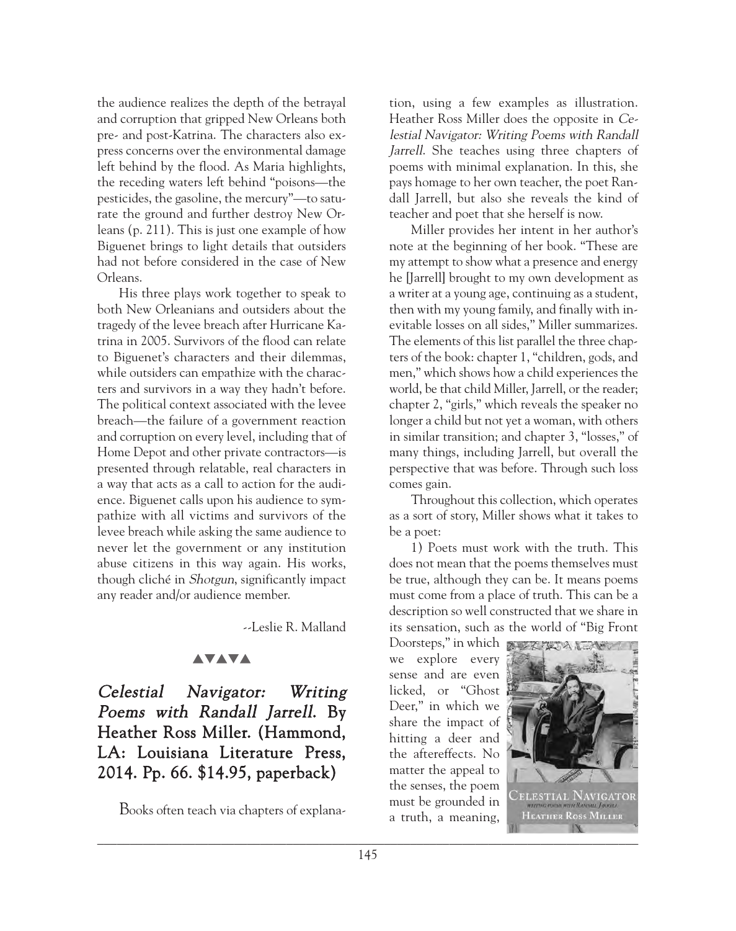the audience realizes the depth of the betrayal and corruption that gripped New Orleans both pre- and post-Katrina. The characters also express concerns over the environmental damage left behind by the flood. As Maria highlights, the receding waters left behind "poisons—the pesticides, the gasoline, the mercury"—to saturate the ground and further destroy New Orleans (p. 211). This is just one example of how Biguenet brings to light details that outsiders had not before considered in the case of New Orleans.

His three plays work together to speak to both New Orleanians and outsiders about the tragedy of the levee breach after Hurricane Katrina in 2005. Survivors of the flood can relate to Biguenet's characters and their dilemmas, while outsiders can empathize with the characters and survivors in a way they hadn't before. The political context associated with the levee breach—the failure of a government reaction and corruption on every level, including that of Home Depot and other private contractors—is presented through relatable, real characters in a way that acts as a call to action for the audience. Biguenet calls upon his audience to sympathize with all victims and survivors of the levee breach while asking the same audience to never let the government or any institution abuse citizens in this way again. His works, though cliché in Shotgun, significantly impact any reader and/or audience member.

--Leslie R. Malland

## **AVAVA**

# Celestial Navigator: Writing Poems with Randall Jarrell. By Heather Ross Miller. (Hammond, LA: Louisiana Literature Press, 2014. Pp. 66. \$14.95, paperback)

Books often teach via chapters of explana-

tion, using a few examples as illustration. Heather Ross Miller does the opposite in Celestial Navigator: Writing Poems with Randall Jarrell. She teaches using three chapters of poems with minimal explanation. In this, she pays homage to her own teacher, the poet Randall Jarrell, but also she reveals the kind of teacher and poet that she herself is now.

Miller provides her intent in her author's note at the beginning of her book. "These are my attempt to show what a presence and energy he [Jarrell] brought to my own development as a writer at a young age, continuing as a student, then with my young family, and finally with inevitable losses on all sides," Miller summarizes. The elements of this list parallel the three chapters of the book: chapter 1, "children, gods, and men," which shows how a child experiences the world, be that child Miller, Jarrell, or the reader; chapter 2, "girls," which reveals the speaker no longer a child but not yet a woman, with others in similar transition; and chapter 3, "losses," of many things, including Jarrell, but overall the perspective that was before. Through such loss comes gain.

Throughout this collection, which operates as a sort of story, Miller shows what it takes to be a poet:

1) Poets must work with the truth. This does not mean that the poems themselves must be true, although they can be. It means poems must come from a place of truth. This can be a description so well constructed that we share in its sensation, such as the world of "Big Front

Doorsteps," in which we explore every sense and are even licked, or "Ghost Deer," in which we share the impact of hitting a deer and the aftereffects. No matter the appeal to the senses, the poem must be grounded in a truth, a meaning,

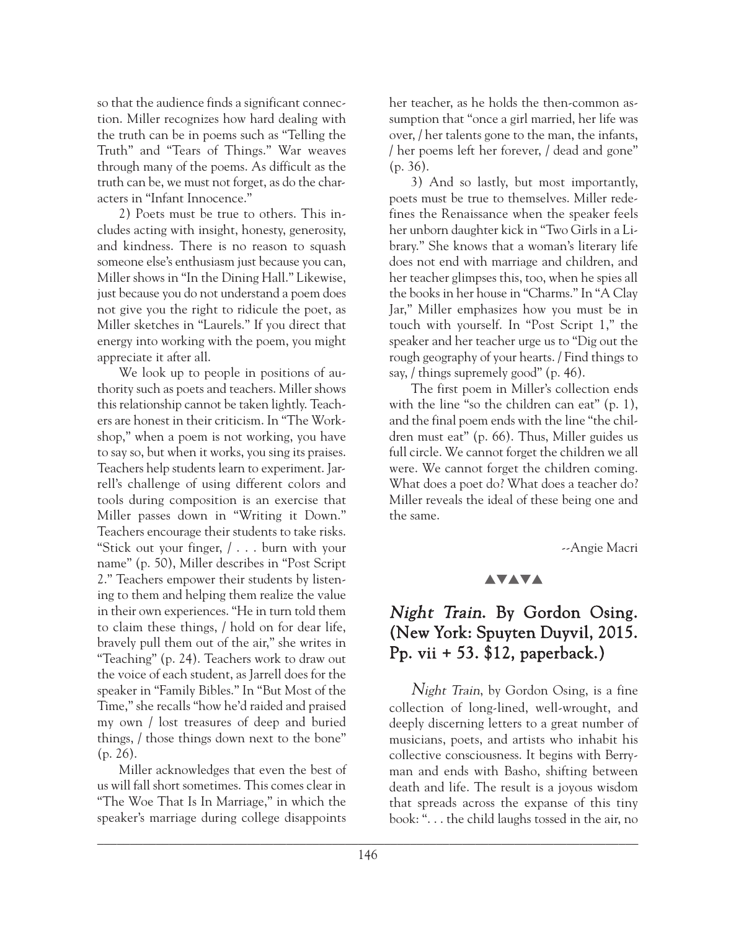so that the audience finds a significant connection. Miller recognizes how hard dealing with the truth can be in poems such as "Telling the Truth" and "Tears of Things." War weaves through many of the poems. As difficult as the truth can be, we must not forget, as do the characters in "Infant Innocence."

2) Poets must be true to others. This includes acting with insight, honesty, generosity, and kindness. There is no reason to squash someone else's enthusiasm just because you can, Miller shows in "In the Dining Hall." Likewise, just because you do not understand a poem does not give you the right to ridicule the poet, as Miller sketches in "Laurels." If you direct that energy into working with the poem, you might appreciate it after all.

We look up to people in positions of authority such as poets and teachers. Miller shows this relationship cannot be taken lightly. Teachers are honest in their criticism. In "The Workshop," when a poem is not working, you have to say so, but when it works, you sing its praises. Teachers help students learn to experiment. Jarrell's challenge of using different colors and tools during composition is an exercise that Miller passes down in "Writing it Down." Teachers encourage their students to take risks. "Stick out your finger, / . . . burn with your name" (p. 50), Miller describes in "Post Script 2." Teachers empower their students by listening to them and helping them realize the value in their own experiences. "He in turn told them to claim these things, / hold on for dear life, bravely pull them out of the air," she writes in "Teaching" (p. 24). Teachers work to draw out the voice of each student, as Jarrell does for the speaker in "Family Bibles." In "But Most of the Time," she recalls "how he'd raided and praised my own / lost treasures of deep and buried things, / those things down next to the bone" (p. 26).

Miller acknowledges that even the best of us will fall short sometimes. This comes clear in "The Woe That Is In Marriage," in which the speaker's marriage during college disappoints

her teacher, as he holds the then-common assumption that "once a girl married, her life was over, / her talents gone to the man, the infants, / her poems left her forever, / dead and gone" (p. 36).

3) And so lastly, but most importantly, poets must be true to themselves. Miller redefines the Renaissance when the speaker feels her unborn daughter kick in "Two Girls in a Library." She knows that a woman's literary life does not end with marriage and children, and her teacher glimpses this, too, when he spies all the books in her house in "Charms." In "A Clay Jar," Miller emphasizes how you must be in touch with yourself. In "Post Script 1," the speaker and her teacher urge us to "Dig out the rough geography of your hearts. / Find things to say, / things supremely good" (p. 46).

The first poem in Miller's collection ends with the line "so the children can eat" (p. 1), and the final poem ends with the line "the children must eat" (p. 66). Thus, Miller guides us full circle. We cannot forget the children we all were. We cannot forget the children coming. What does a poet do? What does a teacher do? Miller reveals the ideal of these being one and the same.

--Angie Macri

## **AVAVA**

# Night Train. By Gordon Osing. (New York: Spuyten Duyvil, 2015. Pp. vii + 53. \$12, paperback.)

Night Train, by Gordon Osing, is a fine collection of long-lined, well-wrought, and deeply discerning letters to a great number of musicians, poets, and artists who inhabit his collective consciousness. It begins with Berryman and ends with Basho, shifting between death and life. The result is a joyous wisdom that spreads across the expanse of this tiny book: ". . . the child laughs tossed in the air, no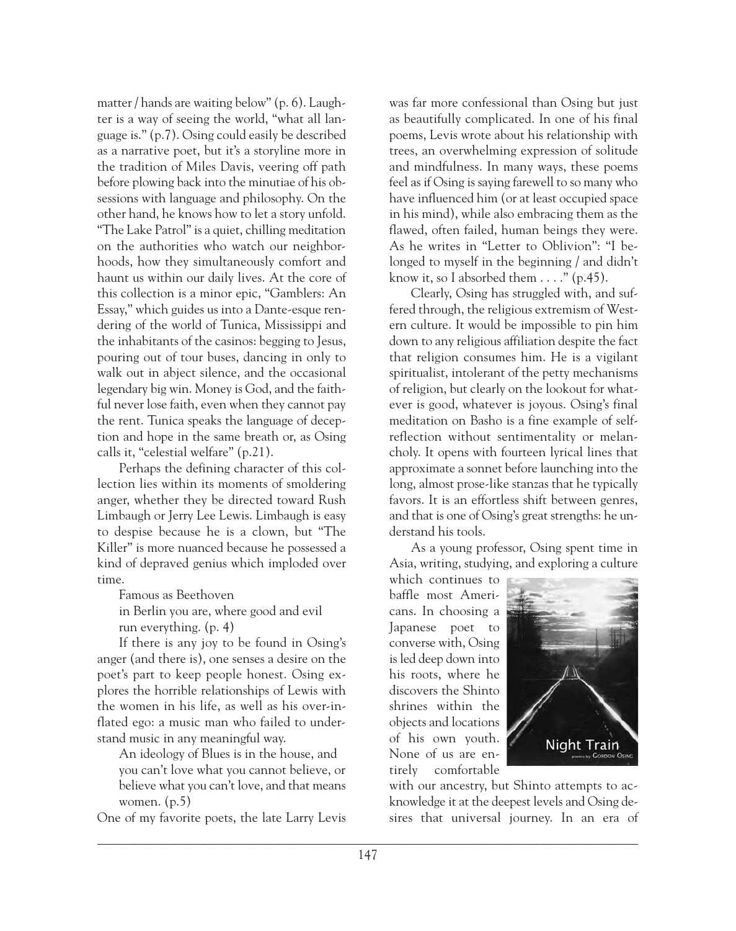matter / hands are waiting below" (p. 6). Laughter is a way of seeing the world, "what all language is." (p.7). Osing could easily be described as a narrative poet, but it's a storyline more in the tradition of Miles Davis, veering off path before plowing back into the minutiae of his obsessions with language and philosophy. On the other hand, he knows how to let a story unfold. "The Lake Patrol" is a quiet, chilling meditation on the authorities who watch our neighborhoods, how they simultaneously comfort and haunt us within our daily lives. At the core of this collection is a minor epic, "Gamblers: An Essay," which guides us into a Dante-esque rendering of the world of Tunica, Mississippi and the inhabitants of the casinos: begging to Jesus, pouring out of tour buses, dancing in only to walk out in abject silence, and the occasional legendary big win. Money is God, and the faithful never lose faith, even when they cannot pay the rent. Tunica speaks the language of deception and hope in the same breath or, as Osing calls it, "celestial welfare" (p.21).

Perhaps the defining character of this collection lies within its moments of smoldering anger, whether they be directed toward Rush Limbaugh or Jerry Lee Lewis. Limbaugh is easy to despise because he is a clown, but "The Killer" is more nuanced because he possessed a kind of depraved genius which imploded over time.

Famous as Beethoven

in Berlin you are, where good and evil run everything. (p. 4)

If there is any joy to be found in Osing's anger (and there is), one senses a desire on the poet's part to keep people honest. Osing explores the horrible relationships of Lewis with the women in his life, as well as his over-inflated ego: a music man who failed to understand music in any meaningful way.

An ideology of Blues is in the house, and you can't love what you cannot believe, or believe what you can't love, and that means women. (p.5)

One of my favorite poets, the late Larry Levis

was far more confessional than Osing but just as beautifully complicated. In one of his final poems, Levis wrote about his relationship with trees, an overwhelming expression of solitude and mindfulness. In many ways, these poems feel as if Osing is saying farewell to so many who have influenced him (or at least occupied space in his mind), while also embracing them as the flawed, often failed, human beings they were. As he writes in "Letter to Oblivion": "I belonged to myself in the beginning / and didn't know it, so I absorbed them  $\dots$ ." (p.45).

Clearly, Osing has struggled with, and suffered through, the religious extremism of Western culture. It would be impossible to pin him down to any religious affiliation despite the fact that religion consumes him. He is a vigilant spiritualist, intolerant of the petty mechanisms of religion, but clearly on the lookout for whatever is good, whatever is joyous. Osing's final meditation on Basho is a fine example of selfreflection without sentimentality or melancholy. It opens with fourteen lyrical lines that approximate a sonnet before launching into the long, almost prose-like stanzas that he typically favors. It is an effortless shift between genres, and that is one of Osing's great strengths: he understand his tools.

As a young professor, Osing spent time in Asia, writing, studying, and exploring a culture

which continues to baffle most Americans. In choosing a Japanese poet to converse with, Osing is led deep down into his roots, where he discovers the Shinto shrines within the objects and locations of his own youth. None of us are entirely comfortable



with our ancestry, but Shinto attempts to acknowledge it at the deepest levels and Osing desires that universal journey. In an era of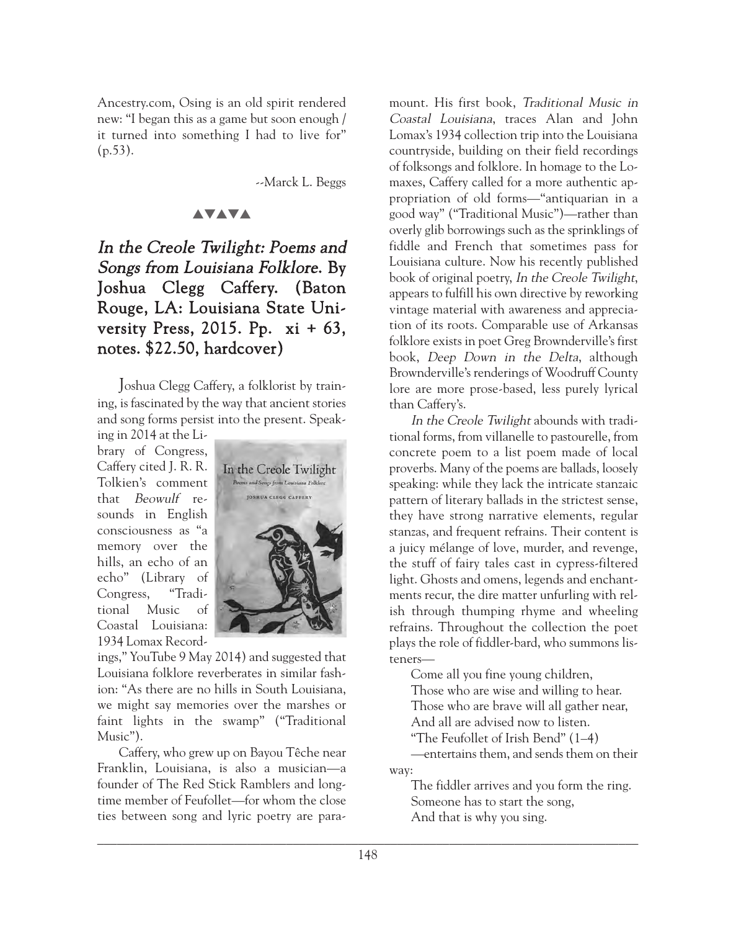Ancestry.com, Osing is an old spirit rendered new: "I began this as a game but soon enough / it turned into something I had to live for"  $(p.53)$ .

--Marck L. Beggs

## **AVAVA**

# In the Creole Twilight: Poems and Songs from Louisiana Folklore. By Joshua Clegg Caffery. (Baton Rouge, LA: Louisiana State University Press, 2015. Pp.  $xi + 63$ , notes. \$22.50, hardcover)

Joshua Clegg Caffery, a folklorist by training, is fascinated by the way that ancient stories and song forms persist into the present. Speak-

ing in 2014 at the Library of Congress, Caffery cited J. R. R. Tolkien's comment that Beowulf resounds in English consciousness as "a memory over the hills, an echo of an echo" (Library of Congress, "Traditional Music of Coastal Louisiana: 1934 Lomax Record-



ings," YouTube 9 May 2014) and suggested that Louisiana folklore reverberates in similar fashion: "As there are no hills in South Louisiana, we might say memories over the marshes or faint lights in the swamp" ("Traditional Music").

Caffery, who grew up on Bayou Têche near Franklin, Louisiana, is also a musician—a founder of The Red Stick Ramblers and longtime member of Feufollet—for whom the close ties between song and lyric poetry are paramount. His first book, Traditional Music in Coastal Louisiana, traces Alan and John Lomax's 1934 collection trip into the Louisiana countryside, building on their field recordings of folksongs and folklore. In homage to the Lomaxes, Caffery called for a more authentic appropriation of old forms—"antiquarian in a good way" ("Traditional Music")—rather than overly glib borrowings such as the sprinklings of fiddle and French that sometimes pass for Louisiana culture. Now his recently published book of original poetry, In the Creole Twilight, appears to fulfill his own directive by reworking vintage material with awareness and appreciation of its roots. Comparable use of Arkansas folklore exists in poet Greg Brownderville's first book, Deep Down in the Delta, although Brownderville's renderings of Woodruff County lore are more prose-based, less purely lyrical than Caffery's.

In the Creole Twilight abounds with traditional forms, from villanelle to pastourelle, from concrete poem to a list poem made of local proverbs. Many of the poems are ballads, loosely speaking: while they lack the intricate stanzaic pattern of literary ballads in the strictest sense, they have strong narrative elements, regular stanzas, and frequent refrains. Their content is a juicy mélange of love, murder, and revenge, the stuff of fairy tales cast in cypress-filtered light. Ghosts and omens, legends and enchantments recur, the dire matter unfurling with relish through thumping rhyme and wheeling refrains. Throughout the collection the poet plays the role of fiddler-bard, who summons listeners—

Come all you fine young children, Those who are wise and willing to hear. Those who are brave will all gather near,

And all are advised now to listen.

"The Feufollet of Irish Bend" (1–4)

—entertains them, and sends them on their way:

The fiddler arrives and you form the ring. Someone has to start the song, And that is why you sing.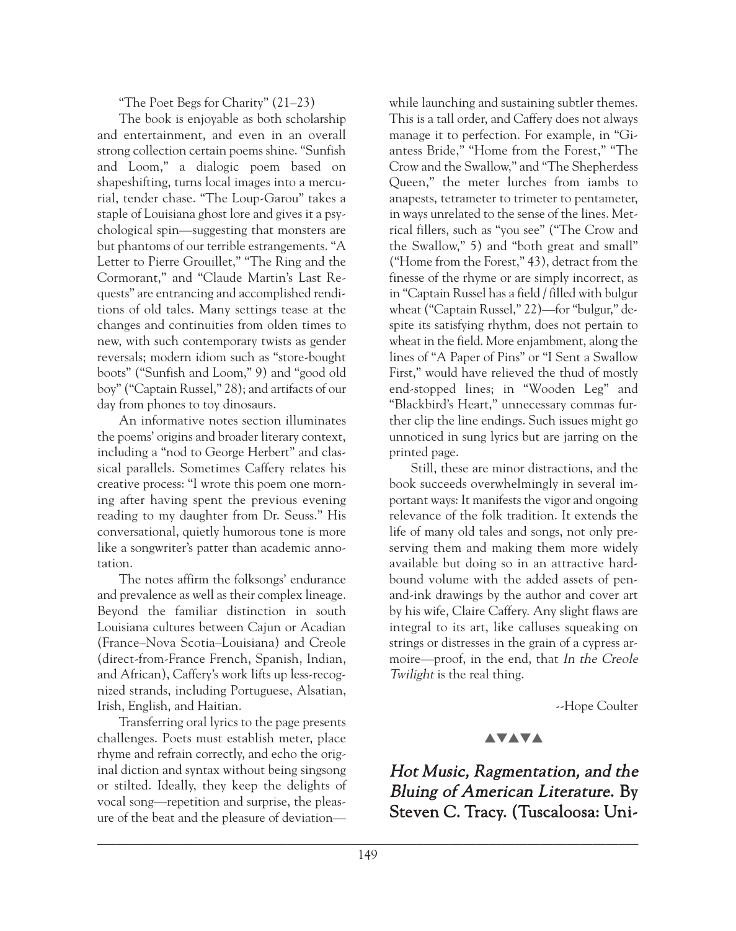"The Poet Begs for Charity" (21–23)

The book is enjoyable as both scholarship and entertainment, and even in an overall strong collection certain poems shine. "Sunfish and Loom," a dialogic poem based on shapeshifting, turns local images into a mercurial, tender chase. "The Loup-Garou" takes a staple of Louisiana ghost lore and gives it a psychological spin—suggesting that monsters are but phantoms of our terrible estrangements. "A Letter to Pierre Grouillet," "The Ring and the Cormorant," and "Claude Martin's Last Requests" are entrancing and accomplished renditions of old tales. Many settings tease at the changes and continuities from olden times to new, with such contemporary twists as gender reversals; modern idiom such as "store-bought boots" ("Sunfish and Loom," 9) and "good old boy" ("Captain Russel," 28); and artifacts of our day from phones to toy dinosaurs.

An informative notes section illuminates the poems' origins and broader literary context, including a "nod to George Herbert" and classical parallels. Sometimes Caffery relates his creative process: "I wrote this poem one morning after having spent the previous evening reading to my daughter from Dr. Seuss." His conversational, quietly humorous tone is more like a songwriter's patter than academic annotation.

The notes affirm the folksongs' endurance and prevalence as well as their complex lineage. Beyond the familiar distinction in south Louisiana cultures between Cajun or Acadian (France–Nova Scotia–Louisiana) and Creole (direct-from-France French, Spanish, Indian, and African), Caffery's work lifts up less-recognized strands, including Portuguese, Alsatian, Irish, English, and Haitian.

Transferring oral lyrics to the page presents challenges. Poets must establish meter, place rhyme and refrain correctly, and echo the original diction and syntax without being singsong or stilted. Ideally, they keep the delights of vocal song—repetition and surprise, the pleasure of the beat and the pleasure of deviation—

while launching and sustaining subtler themes. This is a tall order, and Caffery does not always manage it to perfection. For example, in "Giantess Bride," "Home from the Forest," "The Crow and the Swallow," and "The Shepherdess Queen," the meter lurches from iambs to anapests, tetrameter to trimeter to pentameter, in ways unrelated to the sense of the lines. Metrical fillers, such as "you see" ("The Crow and the Swallow," 5) and "both great and small" ("Home from the Forest," 43), detract from the finesse of the rhyme or are simply incorrect, as in "Captain Russel has a field / filled with bulgur wheat ("Captain Russel," 22)—for "bulgur," despite its satisfying rhythm, does not pertain to wheat in the field. More enjambment, along the lines of "A Paper of Pins" or "I Sent a Swallow First," would have relieved the thud of mostly end-stopped lines; in "Wooden Leg" and "Blackbird's Heart," unnecessary commas further clip the line endings. Such issues might go unnoticed in sung lyrics but are jarring on the printed page.

Still, these are minor distractions, and the book succeeds overwhelmingly in several important ways: It manifests the vigor and ongoing relevance of the folk tradition. It extends the life of many old tales and songs, not only preserving them and making them more widely available but doing so in an attractive hardbound volume with the added assets of penand-ink drawings by the author and cover art by his wife, Claire Caffery. Any slight flaws are integral to its art, like calluses squeaking on strings or distresses in the grain of a cypress armoire—proof, in the end, that In the Creole Twilight is the real thing.

--Hope Coulter

## **AVAVA**

Hot Music, Ragmentation, and the Bluing of American Literature. By Steven C. Tracy. (Tuscaloosa: Uni-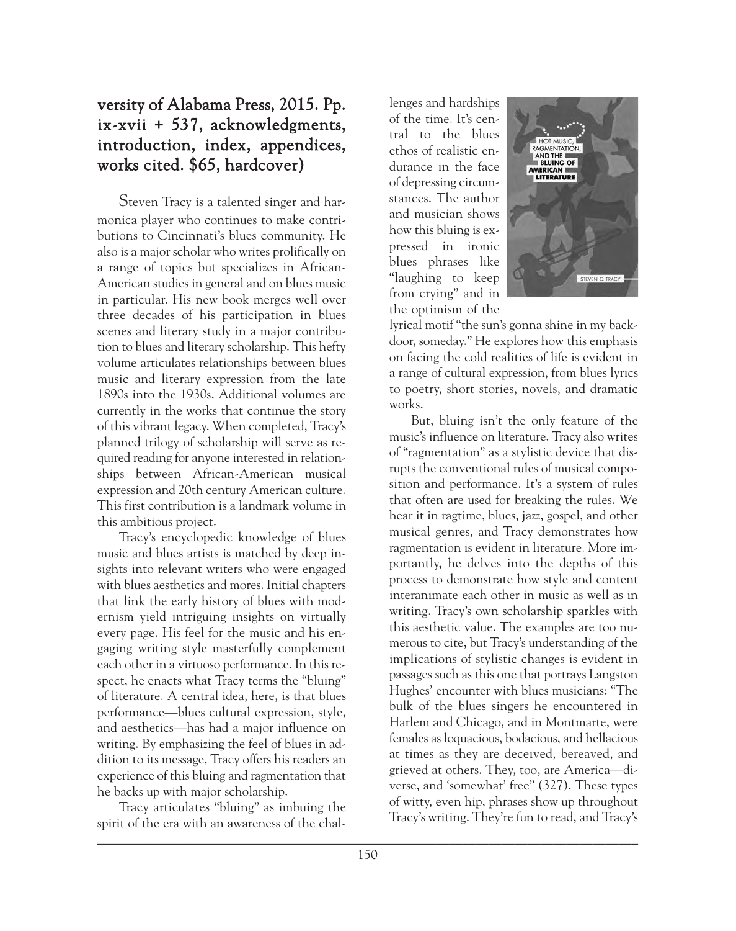# versity of Alabama Press, 2015. Pp. ix-xvii + 537, acknowledgments, introduction, index, appendices, works cited. \$65, hardcover)

Steven Tracy is a talented singer and harmonica player who continues to make contributions to Cincinnati's blues community. He also is a major scholar who writes prolifically on a range of topics but specializes in African-American studies in general and on blues music in particular. His new book merges well over three decades of his participation in blues scenes and literary study in a major contribution to blues and literary scholarship. This hefty volume articulates relationships between blues music and literary expression from the late 1890s into the 1930s. Additional volumes are currently in the works that continue the story of this vibrant legacy. When completed, Tracy's planned trilogy of scholarship will serve as required reading for anyone interested in relationships between African-American musical expression and 20th century American culture. This first contribution is a landmark volume in this ambitious project.

Tracy's encyclopedic knowledge of blues music and blues artists is matched by deep insights into relevant writers who were engaged with blues aesthetics and mores. Initial chapters that link the early history of blues with modernism yield intriguing insights on virtually every page. His feel for the music and his engaging writing style masterfully complement each other in a virtuoso performance. In this respect, he enacts what Tracy terms the "bluing" of literature. A central idea, here, is that blues performance—blues cultural expression, style, and aesthetics—has had a major influence on writing. By emphasizing the feel of blues in addition to its message, Tracy offers his readers an experience of this bluing and ragmentation that he backs up with major scholarship.

Tracy articulates "bluing" as imbuing the spirit of the era with an awareness of the chal-

lenges and hardships of the time. It's central to the blues ethos of realistic endurance in the face of depressing circumstances. The author and musician shows how this bluing is expressed in ironic blues phrases like "laughing to keep from crying" and in the optimism of the



lyrical motif "the sun's gonna shine in my backdoor, someday." He explores how this emphasis on facing the cold realities of life is evident in a range of cultural expression, from blues lyrics to poetry, short stories, novels, and dramatic works.

But, bluing isn't the only feature of the music's influence on literature. Tracy also writes of "ragmentation" as a stylistic device that disrupts the conventional rules of musical composition and performance. It's a system of rules that often are used for breaking the rules. We hear it in ragtime, blues, jazz, gospel, and other musical genres, and Tracy demonstrates how ragmentation is evident in literature. More importantly, he delves into the depths of this process to demonstrate how style and content interanimate each other in music as well as in writing. Tracy's own scholarship sparkles with this aesthetic value. The examples are too numerous to cite, but Tracy's understanding of the implications of stylistic changes is evident in passages such as this one that portrays Langston Hughes' encounter with blues musicians: "The bulk of the blues singers he encountered in Harlem and Chicago, and in Montmarte, were females as loquacious, bodacious, and hellacious at times as they are deceived, bereaved, and grieved at others. They, too, are America—diverse, and 'somewhat' free" (327). These types of witty, even hip, phrases show up throughout Tracy's writing. They're fun to read, and Tracy's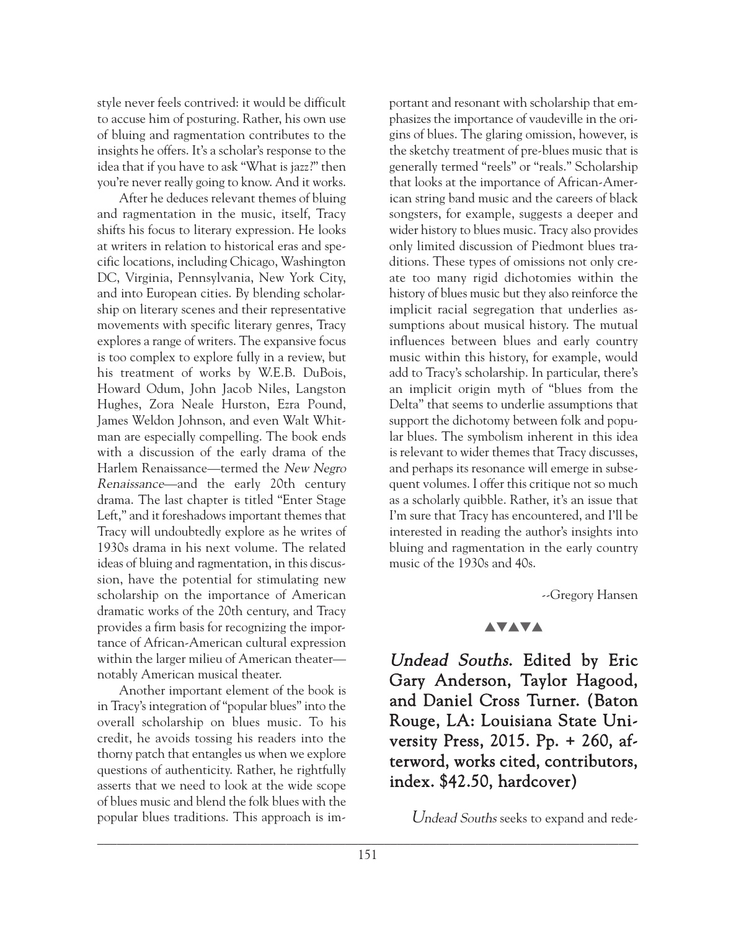style never feels contrived: it would be difficult to accuse him of posturing. Rather, his own use of bluing and ragmentation contributes to the insights he offers. It's a scholar's response to the idea that if you have to ask "What is jazz?" then you're never really going to know. And it works.

After he deduces relevant themes of bluing and ragmentation in the music, itself, Tracy shifts his focus to literary expression. He looks at writers in relation to historical eras and specific locations, including Chicago, Washington DC, Virginia, Pennsylvania, New York City, and into European cities. By blending scholarship on literary scenes and their representative movements with specific literary genres, Tracy explores a range of writers. The expansive focus is too complex to explore fully in a review, but his treatment of works by W.E.B. DuBois, Howard Odum, John Jacob Niles, Langston Hughes, Zora Neale Hurston, Ezra Pound, James Weldon Johnson, and even Walt Whitman are especially compelling. The book ends with a discussion of the early drama of the Harlem Renaissance—termed the New Negro Renaissance—and the early 20th century drama. The last chapter is titled "Enter Stage Left," and it foreshadows important themes that Tracy will undoubtedly explore as he writes of 1930s drama in his next volume. The related ideas of bluing and ragmentation, in this discussion, have the potential for stimulating new scholarship on the importance of American dramatic works of the 20th century, and Tracy provides a firm basis for recognizing the importance of African-American cultural expression within the larger milieu of American theater notably American musical theater.

Another important element of the book is in Tracy's integration of "popular blues" into the overall scholarship on blues music. To his credit, he avoids tossing his readers into the thorny patch that entangles us when we explore questions of authenticity. Rather, he rightfully asserts that we need to look at the wide scope of blues music and blend the folk blues with the popular blues traditions. This approach is im-

portant and resonant with scholarship that emphasizes the importance of vaudeville in the origins of blues. The glaring omission, however, is the sketchy treatment of pre-blues music that is generally termed "reels" or "reals." Scholarship that looks at the importance of African-American string band music and the careers of black songsters, for example, suggests a deeper and wider history to blues music. Tracy also provides only limited discussion of Piedmont blues traditions. These types of omissions not only create too many rigid dichotomies within the history of blues music but they also reinforce the implicit racial segregation that underlies assumptions about musical history. The mutual influences between blues and early country music within this history, for example, would add to Tracy's scholarship. In particular, there's an implicit origin myth of "blues from the Delta" that seems to underlie assumptions that support the dichotomy between folk and popular blues. The symbolism inherent in this idea is relevant to wider themes that Tracy discusses, and perhaps its resonance will emerge in subsequent volumes. I offer this critique not so much as a scholarly quibble. Rather, it's an issue that I'm sure that Tracy has encountered, and I'll be interested in reading the author's insights into bluing and ragmentation in the early country music of the 1930s and 40s.

--Gregory Hansen

## **AVAVA**

Undead Souths. Edited by Eric Gary Anderson, Taylor Hagood, and Daniel Cross Turner. (Baton Rouge, LA: Louisiana State University Press, 2015. Pp. + 260, afterword, works cited, contributors, index. \$42.50, hardcover)

Undead Souths seeks to expand and rede-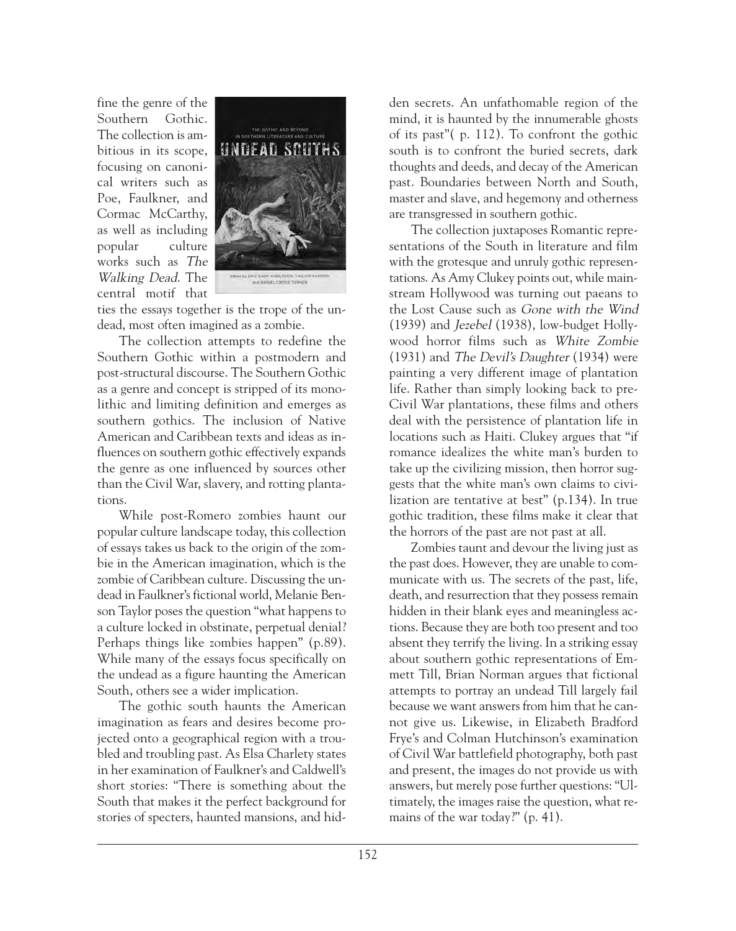fine the genre of the Southern Gothic. The collection is ambitious in its scope, focusing on canonical writers such as Poe, Faulkner, and Cormac McCarthy, as well as including popular culture works such as The Walking Dead. The central motif that



ties the essays together is the trope of the undead, most often imagined as a zombie.

The collection attempts to redefine the Southern Gothic within a postmodern and post-structural discourse. The Southern Gothic as a genre and concept is stripped of its monolithic and limiting definition and emerges as southern gothics. The inclusion of Native American and Caribbean texts and ideas as influences on southern gothic effectively expands the genre as one influenced by sources other than the Civil War, slavery, and rotting plantations.

While post-Romero zombies haunt our popular culture landscape today, this collection of essays takes us back to the origin of the zombie in the American imagination, which is the zombie of Caribbean culture. Discussing the undead in Faulkner's fictional world, Melanie Benson Taylor poses the question "what happens to a culture locked in obstinate, perpetual denial? Perhaps things like zombies happen" (p.89). While many of the essays focus specifically on the undead as a figure haunting the American South, others see a wider implication.

The gothic south haunts the American imagination as fears and desires become projected onto a geographical region with a troubled and troubling past. As Elsa Charlety states in her examination of Faulkner's and Caldwell's short stories: "There is something about the South that makes it the perfect background for stories of specters, haunted mansions, and hid-

den secrets. An unfathomable region of the mind, it is haunted by the innumerable ghosts of its past"( p. 112). To confront the gothic south is to confront the buried secrets, dark thoughts and deeds, and decay of the American past. Boundaries between North and South, master and slave, and hegemony and otherness are transgressed in southern gothic.

The collection juxtaposes Romantic representations of the South in literature and film with the grotesque and unruly gothic representations. As Amy Clukey points out, while mainstream Hollywood was turning out paeans to the Lost Cause such as Gone with the Wind (1939) and Jezebel (1938), low-budget Hollywood horror films such as White Zombie (1931) and The Devil's Daughter (1934) were painting a very different image of plantation life. Rather than simply looking back to pre-Civil War plantations, these films and others deal with the persistence of plantation life in locations such as Haiti. Clukey argues that "if romance idealizes the white man's burden to take up the civilizing mission, then horror suggests that the white man's own claims to civilization are tentative at best" (p.134). In true gothic tradition, these films make it clear that the horrors of the past are not past at all.

Zombies taunt and devour the living just as the past does. However, they are unable to communicate with us. The secrets of the past, life, death, and resurrection that they possess remain hidden in their blank eyes and meaningless actions. Because they are both too present and too absent they terrify the living. In a striking essay about southern gothic representations of Emmett Till, Brian Norman argues that fictional attempts to portray an undead Till largely fail because we want answers from him that he cannot give us. Likewise, in Elizabeth Bradford Frye's and Colman Hutchinson's examination of Civil War battlefield photography, both past and present, the images do not provide us with answers, but merely pose further questions: "Ultimately, the images raise the question, what remains of the war today?" (p. 41).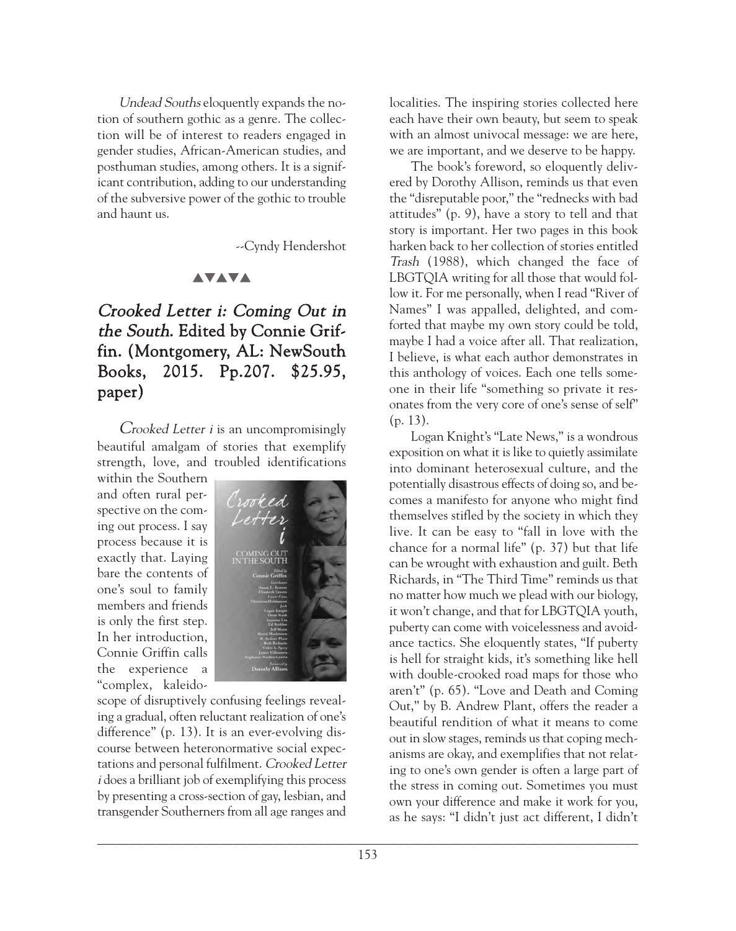Undead Souths eloquently expands the notion of southern gothic as a genre. The collection will be of interest to readers engaged in gender studies, African-American studies, and posthuman studies, among others. It is a significant contribution, adding to our understanding of the subversive power of the gothic to trouble and haunt us.

--Cyndy Hendershot

## **AVAVA**

# Crooked Letter i: Coming Out in the South. Edited by Connie Griffin. (Montgomery, AL: NewSouth Books, 2015. Pp.207. \$25.95, paper)

Crooked Letter i is an uncompromisingly beautiful amalgam of stories that exemplify strength, love, and troubled identifications

within the Southern and often rural perspective on the coming out process. I say process because it is exactly that. Laying bare the contents of one's soul to family members and friends is only the first step. In her introduction, Connie Griffin calls the experience a "complex, kaleido-



scope of disruptively confusing feelings revealing a gradual, often reluctant realization of one's difference" (p. 13). It is an ever-evolving discourse between heteronormative social expectations and personal fulfilment. Crooked Letter <sup>i</sup> does a brilliant job of exemplifying this process by presenting a cross-section of gay, lesbian, and transgender Southerners from all age ranges and

localities. The inspiring stories collected here each have their own beauty, but seem to speak with an almost univocal message: we are here, we are important, and we deserve to be happy.

The book's foreword, so eloquently delivered by Dorothy Allison, reminds us that even the "disreputable poor," the "rednecks with bad attitudes" (p. 9), have a story to tell and that story is important. Her two pages in this book harken back to her collection of stories entitled Trash (1988), which changed the face of LBGTQIA writing for all those that would follow it. For me personally, when I read "River of Names" I was appalled, delighted, and comforted that maybe my own story could be told, maybe I had a voice after all. That realization, I believe, is what each author demonstrates in this anthology of voices. Each one tells someone in their life "something so private it resonates from the very core of one's sense of self" (p. 13).

Logan Knight's "Late News," is a wondrous exposition on what it is like to quietly assimilate into dominant heterosexual culture, and the potentially disastrous effects of doing so, and becomes a manifesto for anyone who might find themselves stifled by the society in which they live. It can be easy to "fall in love with the chance for a normal life" (p. 37) but that life can be wrought with exhaustion and guilt. Beth Richards, in "The Third Time" reminds us that no matter how much we plead with our biology, it won't change, and that for LBGTQIA youth, puberty can come with voicelessness and avoidance tactics. She eloquently states, "If puberty is hell for straight kids, it's something like hell with double-crooked road maps for those who aren't" (p. 65). "Love and Death and Coming Out," by B. Andrew Plant, offers the reader a beautiful rendition of what it means to come out in slow stages, reminds us that coping mechanisms are okay, and exemplifies that not relating to one's own gender is often a large part of the stress in coming out. Sometimes you must own your difference and make it work for you, as he says: "I didn't just act different, I didn't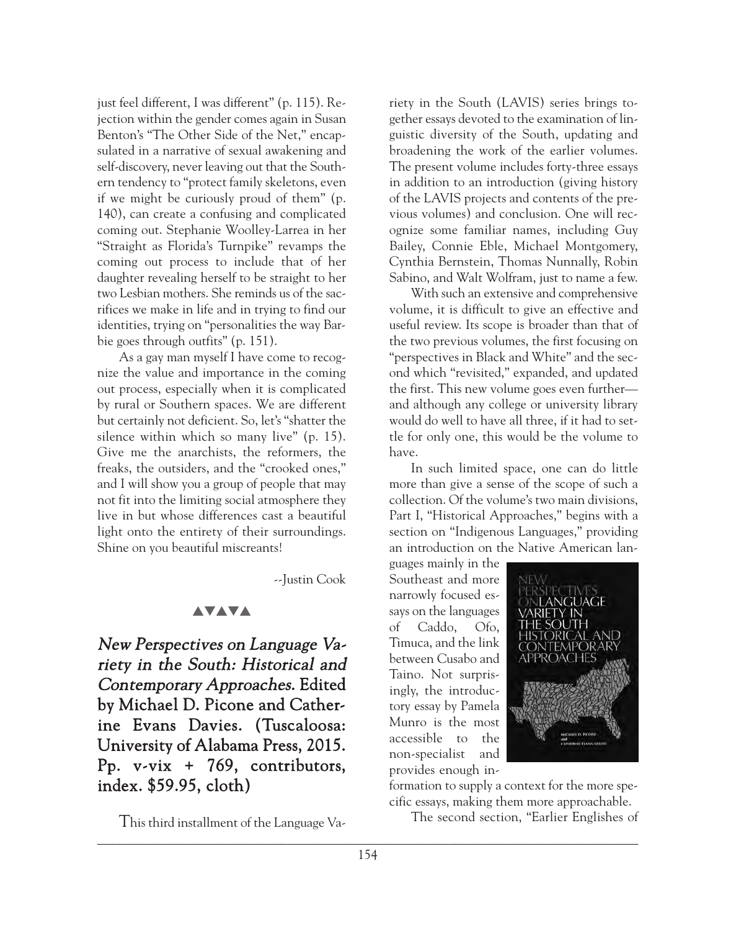just feel different, I was different" (p. 115). Rejection within the gender comes again in Susan Benton's "The Other Side of the Net," encapsulated in a narrative of sexual awakening and self-discovery, never leaving out that the Southern tendency to "protect family skeletons, even if we might be curiously proud of them" (p. 140), can create a confusing and complicated coming out. Stephanie Woolley-Larrea in her "Straight as Florida's Turnpike" revamps the coming out process to include that of her daughter revealing herself to be straight to her two Lesbian mothers. She reminds us of the sacrifices we make in life and in trying to find our identities, trying on "personalities the way Barbie goes through outfits" (p. 151).

As a gay man myself I have come to recognize the value and importance in the coming out process, especially when it is complicated by rural or Southern spaces. We are different but certainly not deficient. So, let's "shatter the silence within which so many live" (p. 15). Give me the anarchists, the reformers, the freaks, the outsiders, and the "crooked ones," and I will show you a group of people that may not fit into the limiting social atmosphere they live in but whose differences cast a beautiful light onto the entirety of their surroundings. Shine on you beautiful miscreants!

--Justin Cook

## **AVAVA**

New Perspectives on Language Variety in the South: Historical and Contemporary Approaches. Edited by Michael D. Picone and Catherine Evans Davies. (Tuscaloosa: University of Alabama Press, 2015. Pp. v-vix + 769, contributors, index. \$59.95, cloth)

This third installment of the Language Va-

riety in the South (LAVIS) series brings together essays devoted to the examination of linguistic diversity of the South, updating and broadening the work of the earlier volumes. The present volume includes forty-three essays in addition to an introduction (giving history of the LAVIS projects and contents of the previous volumes) and conclusion. One will recognize some familiar names, including Guy Bailey, Connie Eble, Michael Montgomery, Cynthia Bernstein, Thomas Nunnally, Robin Sabino, and Walt Wolfram, just to name a few.

With such an extensive and comprehensive volume, it is difficult to give an effective and useful review. Its scope is broader than that of the two previous volumes, the first focusing on "perspectives in Black and White" and the second which "revisited," expanded, and updated the first. This new volume goes even further and although any college or university library would do well to have all three, if it had to settle for only one, this would be the volume to have.

In such limited space, one can do little more than give a sense of the scope of such a collection. Of the volume's two main divisions, Part I, "Historical Approaches," begins with a section on "Indigenous Languages," providing an introduction on the Native American lan-

guages mainly in the Southeast and more narrowly focused essays on the languages of Caddo, Ofo, Timuca, and the link between Cusabo and Taino. Not surprisingly, the introductory essay by Pamela Munro is the most accessible to the non-specialist and provides enough in-



formation to supply a context for the more specific essays, making them more approachable.

The second section, "Earlier Englishes of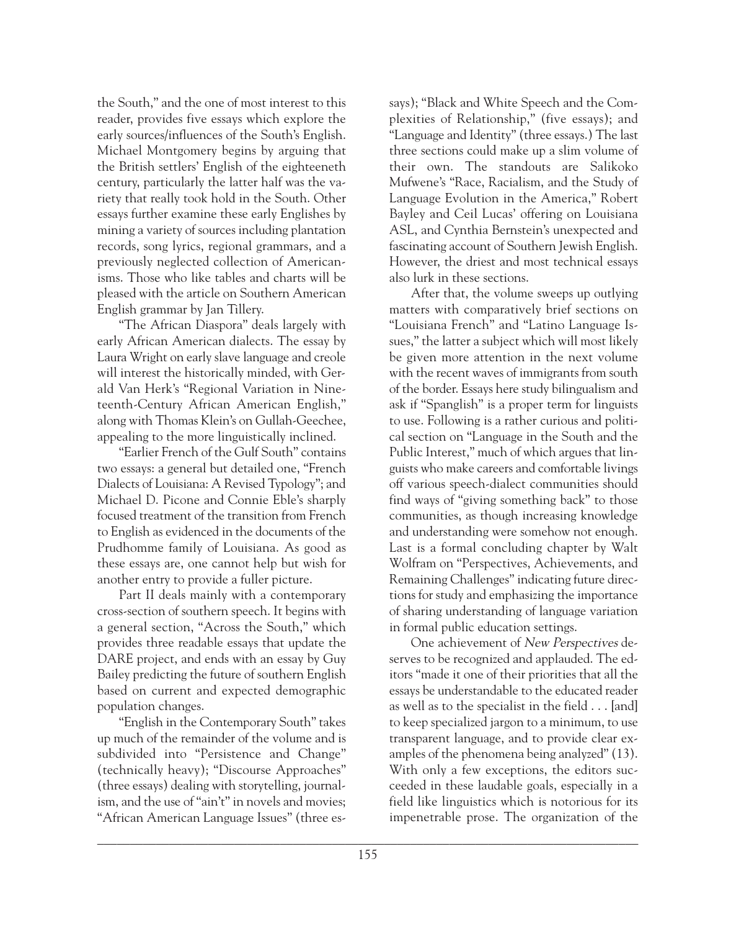the South," and the one of most interest to this reader, provides five essays which explore the early sources/influences of the South's English. Michael Montgomery begins by arguing that the British settlers' English of the eighteeneth century, particularly the latter half was the variety that really took hold in the South. Other essays further examine these early Englishes by mining a variety of sources including plantation records, song lyrics, regional grammars, and a previously neglected collection of Americanisms. Those who like tables and charts will be pleased with the article on Southern American English grammar by Jan Tillery.

"The African Diaspora" deals largely with early African American dialects. The essay by Laura Wright on early slave language and creole will interest the historically minded, with Gerald Van Herk's "Regional Variation in Nineteenth-Century African American English," along with Thomas Klein's on Gullah-Geechee, appealing to the more linguistically inclined.

"Earlier French of the Gulf South" contains two essays: a general but detailed one, "French Dialects of Louisiana: A Revised Typology"; and Michael D. Picone and Connie Eble's sharply focused treatment of the transition from French to English as evidenced in the documents of the Prudhomme family of Louisiana. As good as these essays are, one cannot help but wish for another entry to provide a fuller picture.

Part II deals mainly with a contemporary cross-section of southern speech. It begins with a general section, "Across the South," which provides three readable essays that update the DARE project, and ends with an essay by Guy Bailey predicting the future of southern English based on current and expected demographic population changes.

"English in the Contemporary South" takes up much of the remainder of the volume and is subdivided into "Persistence and Change" (technically heavy); "Discourse Approaches" (three essays) dealing with storytelling, journalism, and the use of "ain't" in novels and movies; "African American Language Issues" (three essays); "Black and White Speech and the Complexities of Relationship," (five essays); and "Language and Identity" (three essays.) The last three sections could make up a slim volume of their own. The standouts are Salikoko Mufwene's "Race, Racialism, and the Study of Language Evolution in the America," Robert Bayley and Ceil Lucas' offering on Louisiana ASL, and Cynthia Bernstein's unexpected and fascinating account of Southern Jewish English. However, the driest and most technical essays also lurk in these sections.

After that, the volume sweeps up outlying matters with comparatively brief sections on "Louisiana French" and "Latino Language Issues," the latter a subject which will most likely be given more attention in the next volume with the recent waves of immigrants from south of the border. Essays here study bilingualism and ask if "Spanglish" is a proper term for linguists to use. Following is a rather curious and political section on "Language in the South and the Public Interest," much of which argues that linguists who make careers and comfortable livings off various speech-dialect communities should find ways of "giving something back" to those communities, as though increasing knowledge and understanding were somehow not enough. Last is a formal concluding chapter by Walt Wolfram on "Perspectives, Achievements, and Remaining Challenges" indicating future directions for study and emphasizing the importance of sharing understanding of language variation in formal public education settings.

One achievement of New Perspectives deserves to be recognized and applauded. The editors "made it one of their priorities that all the essays be understandable to the educated reader as well as to the specialist in the field . . . [and] to keep specialized jargon to a minimum, to use transparent language, and to provide clear examples of the phenomena being analyzed" (13). With only a few exceptions, the editors succeeded in these laudable goals, especially in a field like linguistics which is notorious for its impenetrable prose. The organization of the